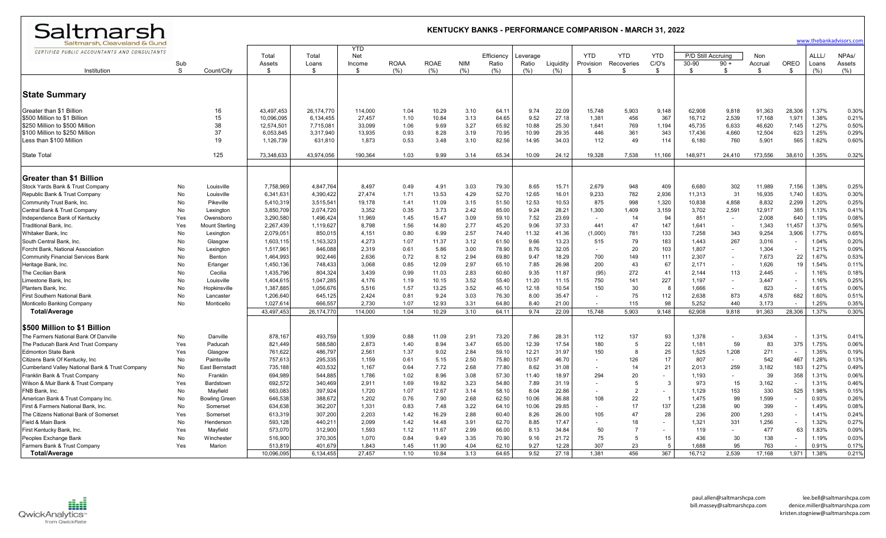| Saltmarsh                                       |     | <b>KENTUCKY BANKS - PERFORMANCE COMPARISON - MARCH 31, 2022</b><br>www.thebankadvisors.com |                 |                |                             |             |             |            |                     |                   |           |                         |                          |                     |                             |                          |                |        |                |                              |
|-------------------------------------------------|-----|--------------------------------------------------------------------------------------------|-----------------|----------------|-----------------------------|-------------|-------------|------------|---------------------|-------------------|-----------|-------------------------|--------------------------|---------------------|-----------------------------|--------------------------|----------------|--------|----------------|------------------------------|
| CERTIFIED PUBLIC ACCOUNTANTS AND CONSULTANTS    | Sub |                                                                                            | Total<br>Assets | Total<br>Loans | <b>YTD</b><br>Net<br>Income | <b>ROAA</b> | <b>ROAE</b> | <b>NIM</b> | Efficiency<br>Ratio | Leverage<br>Ratio | Liquidity | <b>YTD</b><br>Provision | <b>YTD</b><br>Recoveries | <b>YTD</b><br>C/O's | P/D Still Accruing<br>30-90 | $90 +$                   | Non<br>Accrual | OREO   | ALLL/<br>Loans | NPA <sub>s</sub> /<br>Assets |
| Institution                                     | S   | Count/City                                                                                 | -\$             | -\$            | \$.                         | (% )        | (% )        | (% )       | (% )                | (% )              | (% )      | -S                      | \$                       | \$                  | - \$                        | S.                       | -S             | S.     | (%)            | (% )                         |
| <b>State Summary</b>                            |     |                                                                                            |                 |                |                             |             |             |            |                     |                   |           |                         |                          |                     |                             |                          |                |        |                |                              |
| Greater than \$1 Billion                        |     | 16                                                                                         | 43,497,453      | 26,174,770     | 114,000                     | 1.04        | 10.29       | 3.10       | 64.11               | 9.74              | 22.09     | 15,748                  | 5,903                    | 9,148               | 62,908                      | 9,818                    | 91,363         | 28,306 | 1.37%          | 0.30%                        |
| \$500 Million to \$1 Billion                    |     | 15                                                                                         | 10,096,095      | 6,134,455      | 27,457                      | 1.10        | 10.84       | 3.13       | 64.65               | 9.52              | 27.18     | 1,381                   | 456                      | 367                 | 16,712                      | 2,539                    | 17,168         | 1,971  | 1.38%          | 0.21%                        |
| \$250 Million to \$500 Million                  |     | 38                                                                                         | 12,574,501      | 7,715,081      | 33,099                      | 1.06        | 9.69        | 3.27       | 65.92               | 10.88             | 25.30     | 1,641                   | 769                      | 1,194               | 45,735                      | 6,633                    | 46,620         | 7,145  | 1.27%          | 0.50%                        |
| \$100 Million to \$250 Million                  |     | 37                                                                                         | 6,053,845       | 3,317,940      | 13,935                      | 0.93        | 8.28        | 3.19       | 70.95               | 10.99             | 29.35     | 446                     | 361                      | 343                 | 17,436                      | 4,660                    | 12,504         | 623    | 1.25%          | 0.29%                        |
| Less than \$100 Million                         |     | 19                                                                                         | 1,126,739       | 631,810        | 1,873                       | 0.53        | 3.48        | 3.10       | 82.56               | 14.95             | 34.03     | 112                     | 49                       | 114                 | 6,180                       | 760                      | 5,901          | 565    | 1.62%          | 0.60%                        |
| <b>State Total</b>                              |     | 125                                                                                        | 73,348,633      | 43,974,056     | 190,364                     | 1.03        | 9.99        | 3.14       | 65.34               | 10.09             | 24.12     | 19,328                  | 7,538                    | 11,166              | 148,971                     | 24,410                   | 173,556        | 38,610 | 1.35%          | 0.32%                        |
| <b>Greater than \$1 Billion</b>                 |     |                                                                                            |                 |                |                             |             |             |            |                     |                   |           |                         |                          |                     |                             |                          |                |        |                |                              |
| Stock Yards Bank & Trust Company                | No  | Louisville                                                                                 | 7,758,969       | 4,847,764      | 8,497                       | 0.49        | 4.91        | 3.03       | 79.30               | 8.65              | 15.71     | 2,679                   | 948                      | 409                 | 6,680                       | 302                      | 11,989         | 7,156  | 1.38%          | 0.25%                        |
| Republic Bank & Trust Company                   | No  | Louisville                                                                                 | 6,341,631       | 4,390,422      | 27,474                      | 1.71        | 13.53       | 4.29       | 52.70               | 12.65             | 16.01     | 9,233                   | 782                      | 2,936               | 11,313                      | 31                       | 16,935         | 1,740  | 1.63%          | 0.30%                        |
| Community Trust Bank, Inc.                      | No  | Pikeville                                                                                  | 5,410,319       | 3,515,54       | 19,178                      | 1.41        | 11.09       | 3.15       | 51.50               | 12.53             | 10.53     | 875                     | 998                      | 1,320               | 10,838                      | 4,858                    | 8,832          | 2,299  | 1.20%          | 0.25%                        |
| Central Bank & Trust Company                    | No  | Lexington                                                                                  | 3,850,709       | 2,074,720      | 3,352                       | 0.35        | 3.73        | 2.42       | 85.00               | 9.24              | 28.21     | 1,300                   | 1,409                    | 3,159               | 3,702                       | 2,591                    | 12,917         | 385    | 1.13%          | 0.41%                        |
| Independence Bank of Kentucky                   | Yes | Owensboro                                                                                  | 3,290,580       | 1,496,424      | 11,969                      | 1.45        | 15.47       | 3.09       | 59.10               | 7.52              | 23.69     |                         | 14                       | 94                  | 851                         |                          | 2,008          | 640    | 1.19%          | 0.08%                        |
| Traditional Bank, Inc.                          | Yes | <b>Mount Sterling</b>                                                                      | 2,267,439       | 1,119,627      | 8,798                       | 1.56        | 14.80       | 2.77       | 45.20               | 9.06              | 37.33     | 441                     | 47                       | 147                 | 1,641                       | $\blacksquare$           | 1,343          | 11,457 | 1.37%          | 0.56%                        |
| Whitaker Bank, Inc.                             | No  | Lexington                                                                                  | 2,079,051       | 850,01         | 4,151                       | 0.80        | 6.99        | 2.57       | 74.40               | 11.32             | 41.36     | (1,000)                 | 781                      | 133                 | 7,258                       | 343                      | 9,254          | 3,906  | 1.77%          | 0.65%                        |
| South Central Bank, Inc.                        | No  | Glasgow                                                                                    | 1,603,115       | 1,163,323      | 4,273                       | 1.07        | 11.37       | 3.12       | 61.50               | 9.66              | 13.23     | 515                     | 79                       | 183                 | 1,443                       | 267                      | 3,016          |        | 1.04%          | 0.20%                        |
| Forcht Bank, National Association               | No  | Lexington                                                                                  | 1,517,961       | 846,088        | 2,319                       | 0.61        | 5.86        | 3.00       | 78.90               | 8.76              | 32.05     |                         | 20                       | 103                 | 1,807                       | $\overline{\phantom{a}}$ | 1,304          |        | 1.21%          | 0.09%                        |
| <b>Community Financial Services Bank</b>        | No  | Benton                                                                                     | 1,464,993       | 902,446        | 2,636                       | 0.72        | 8.12        | 2.94       | 69.80               | 9.47              | 18.29     | 700                     | 149                      | 111                 | 2,307                       |                          | 7,673          | 22     | 1.67%          | 0.53%                        |
| Heritage Bank, Inc.                             | No  | Erlanger                                                                                   | 1,450,136       | 748,433        | 3,068                       | 0.85        | 12.09       | 2.97       | 65.10               | 7.85              | 26.98     | 200                     | 43                       | 67                  | 2,171                       |                          | 1,626          | 19     | 1.54%          | 0.11%                        |
| The Cecilian Bank                               | No  | Cecilia                                                                                    | 1,435,796       | 804,324        | 3,439                       | 0.99        | 11.03       | 2.83       | 60.60               | 9.35              | 11.87     | (95)                    | 272                      | 41                  | 2,144                       | 113                      | 2,445          |        | 1.16%          | 0.18%                        |
| Limestone Bank, Inc                             | No  | Louisville                                                                                 | 1,404,615       | 1,047,285      | 4,176                       | 1.19        | 10.15       | 3.52       | 55.40               | 11.20             | 11.15     | 750                     | 141                      | 227                 | 1,197                       |                          | 3,447          |        | 1.16%          | 0.25%                        |
| Planters Bank, Inc.                             | No  | Hopkinsville                                                                               | 1,387,885       | 1,056,676      | 5,516                       | 1.57        | 13.25       | 3.52       | 46.10               | 12.18             | 10.54     | 150                     | 30                       | $\mathsf{R}$        | 1,666                       |                          | 823            |        | 1.61%          | 0.06%                        |
| First Southern National Bank                    | No  | Lancaster                                                                                  | 1,206,640       | 645,125        | 2,424                       | 0.81        | 9.24        | 3.03       | 76.30               | 8.00              | 35.47     |                         | 75                       | 112                 | 2,638                       | 873                      | 4,578          | 682    | 1.60%          | 0.51%                        |
| Monticello Banking Company                      | No  | Monticello                                                                                 | 1,027,614       | 666,557        | 2,730                       | 1.07        | 12.93       | 3.31       | 64.80               | 8.40              | 21.00     |                         | 115                      | 98                  | 5.252                       | 440                      | 3,173          |        | 1.25%          | 0.35%                        |
| <b>Total/Average</b>                            |     |                                                                                            | 43,497,453      | 26, 174, 770   | 114,000                     | 1.04        | 10.29       | 3.10       | 64.11               | 9.74              | 22.09     | 15,748                  | 5,903                    | 9,148               | 62,908                      | 9,818                    | 91,363         | 28,306 | 1.37%          | 0.30%                        |
| l\$500 Million to \$1 Billion                   |     |                                                                                            |                 |                |                             |             |             |            |                     |                   |           |                         |                          |                     |                             |                          |                |        |                |                              |
| The Farmers National Bank Of Danville           | No  | Danville                                                                                   | 878,167         | 493,759        | 1,939                       | 0.88        | 11.09       | 2.91       | 73.20               | 7.86              | 28.31     | 112                     | 137                      | 93                  | 1,378                       | $\sim$                   | 3,634          |        | 1.31%          | 0.41%                        |
| The Paducah Bank And Trust Company              | Yes | Paducah                                                                                    | 821,449         | 588,580        | 2,873                       | 1.40        | 8.94        | 3.47       | 65.00               | 12.39             | 17.54     | 180                     | 5                        | 22                  | 1,181                       | 59                       | 83             | 375    | 1.75%          | 0.06%                        |
| <b>Edmonton State Bank</b>                      | Yes | Glasgow                                                                                    | 761,622         | 486,797        | 2,561                       | 1.37        | 9.02        | 2.84       | 59.10               | 12.21             | 31.97     | 150                     | 8                        | 25                  | 1,525                       | 1,208                    | 271            | ÷.     | 1.35%          | 0.19%                        |
| Citizens Bank Of Kentucky, Inc.                 | No  | Paintsville                                                                                | 757,613         | 295,335        | 1,159                       | 0.61        | 5.15        | 2.50       | 75.80               | 10.57             | 46.70     |                         | 126                      | 17                  | 807                         |                          | 542            | 467    | 1.28%          | 0.13%                        |
| Cumberland Valley National Bank & Trust Company | No  | East Bernstadt                                                                             | 735,188         | 403,532        | 1,167                       | 0.64        | 7.72        | 2.68       | 77.80               | 8.62              | 31.08     |                         | 14                       | 21                  | 2,013                       | 259                      | 3,182          | 183    | 1.27%          | 0.49%                        |
| Franklin Bank & Trust Company                   | No  | Franklin                                                                                   | 694,989         | 544,885        | 1,786                       | 1.02        | 8.96        | 3.08       | 57.30               | 11.40             | 18.97     | 294                     | 20                       |                     | 1,193                       |                          | 39             | 358    | 1.31%          | 0.06%                        |
| Wilson & Muir Bank & Trust Company              | Yes | Bardstown                                                                                  | 692,572         | 340,469        | 2,911                       | 1.69        | 19.82       | 3.23       | 54.80               | 7.89              | 31.19     |                         | -5                       | 3                   | 973                         | 15                       | 3,162          |        | 1.31%          | 0.46%                        |
| FNB Bank, Inc.                                  | No  | Mayfield                                                                                   | 663,083         | 397,924        | 1,720                       | 1.07        | 12.67       | 3.14       | 58.10               | 8.04              | 22.86     |                         | $\overline{2}$           |                     | 1,129                       | 153                      | 330            | 525    | 1.98%          | 0.15%                        |
| American Bank & Trust Company Inc.              | No  | <b>Bowling Green</b>                                                                       | 646,538         | 388,672        | 1,202                       | 0.76        | 7.90        | 2.68       | 62.50               | 10.06             | 36.88     | 108                     | 22                       | $\overline{1}$      | 1,475                       | 99                       | 1,599          |        | 0.93%          | 0.26%                        |
| First & Farmers National Bank, Inc.             | No  | Somerset                                                                                   | 634,638         | 362,207        | 1,331                       | 0.83        | 7.48        | 3.22       | 64.10               | 10.06             | 29.85     |                         | 17                       | 137                 | 1,238                       | 90                       | 399            |        | 1.49%          | 0.08%                        |
| The Citizens National Bank of Somerset          | Yes | Somerset                                                                                   | 613,319         | 307,200        | 2,203                       | 1.42        | 16.29       | 2.88       | 60.40               | 8.26              | 26.00     | 105                     | 47                       | 28                  | 236                         | 200                      | 1,293          |        | 1.41%          | 0.24%                        |
| Field & Main Bank                               | No  | Henderson                                                                                  | 593,128         | 440,21         | 2,099                       | 1.42        | 14.48       | 3.91       | 62.70               | 8.85              | 17.47     |                         | 18                       |                     | 1,321                       | 331                      | 1,256          |        | 1.32%          | 0.27%                        |
| First Kentucky Bank, Inc.                       | Yes | Mayfield                                                                                   | 573,070         | 312,900        | 1,593                       | 1.12        | 11.67       | 2.99       | 66.00               | 8.13              | 34.84     | 50                      | $\overline{7}$           |                     | 119                         |                          | 477            | 63     | 1.83%          | 0.09%                        |
| Peoples Exchange Bank                           | No  | Winchester                                                                                 | 516,900         | 370,305        | 1.070                       | 0.84        | 9.49        | 3.35       | 70.90               | 9.16              | 21.72     | 75                      | -5                       | 15                  | 436                         | 30                       | 138            |        | 1.19%          | 0.03%                        |
| Farmers Bank & Trust Company                    | Yes | Marion                                                                                     | 513,819         | 401,679        | 1.843                       | 1.45        | 11.90       | 4.04       | 62.10               | 9.27              | 12.28     | 307                     | 23                       | 5                   | 1,688                       | 95                       | 763            |        | 0.91%          | 0.17%                        |
| <b>Total/Average</b>                            |     |                                                                                            | 10.096.095      | 6,134,455      | 27.457                      | 1.10        | 10.84       | 3.13       | 64.65               | 9.52              | 27.18     | 1.381                   | 456                      | 367                 | 16.712                      | 2.539                    | 17.168         | 1,971  | 1.38%          | 0.21%                        |

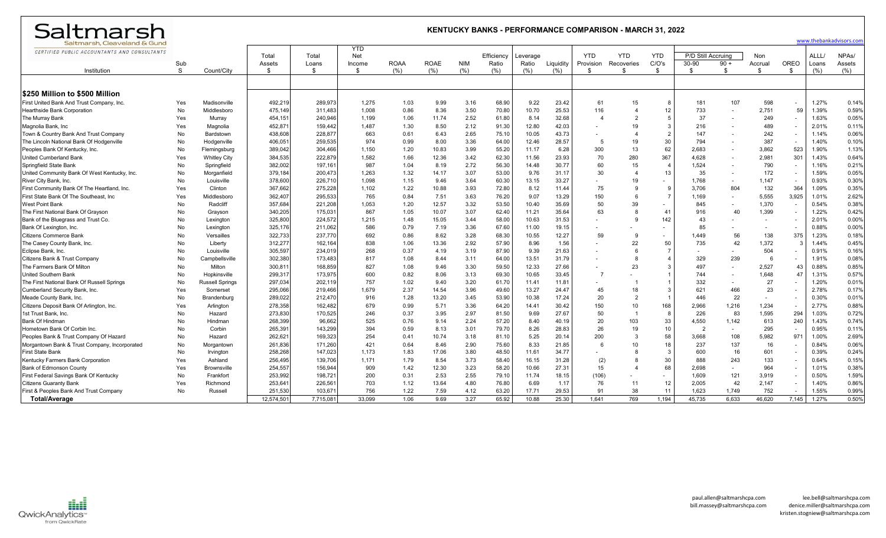| Saltmarsh                                     |              |                          | <b>KENTUCKY BANKS - PERFORMANCE COMPARISON - MARCH 31, 2022</b> |                |               |             |             |            |                     |                   |           |                         |                          |                     |                    |                    |                         |             |                |                              |  |  |
|-----------------------------------------------|--------------|--------------------------|-----------------------------------------------------------------|----------------|---------------|-------------|-------------|------------|---------------------|-------------------|-----------|-------------------------|--------------------------|---------------------|--------------------|--------------------|-------------------------|-------------|----------------|------------------------------|--|--|
| Saltmarsh, Cleaveland & Gund                  |              |                          |                                                                 |                |               |             |             |            |                     |                   |           |                         |                          |                     |                    |                    | www.thebankadvisors.com |             |                |                              |  |  |
| CERTIFIED PUBLIC ACCOUNTANTS AND CONSULTANTS  |              |                          |                                                                 |                | <b>YTD</b>    |             |             |            |                     |                   |           |                         |                          |                     |                    |                    |                         |             |                |                              |  |  |
|                                               | Sub          |                          | Total<br>Assets                                                 | Total<br>Loans | Net<br>Income | <b>ROAA</b> | <b>ROAE</b> | <b>NIM</b> | Efficiency<br>Ratio | Leverage<br>Ratio | Liquidity | <b>YTD</b><br>Provision | <b>YTD</b><br>Recoveries | <b>YTD</b><br>C/O's | P/D Still<br>30-90 | Accruina<br>$90 +$ | Non<br>Accrual          | <b>OREO</b> | ALLL/<br>Loans | NPA <sub>s</sub> /<br>Assets |  |  |
| Institution                                   | <sub>S</sub> | Count/City               | \$                                                              | \$             | \$            | (% )        | (%)         | (% )       | (%)                 | (%)               | (% )      | -\$                     | \$.                      | \$                  | \$                 | \$                 | \$                      | -\$         | (%)            | (% )                         |  |  |
|                                               |              |                          |                                                                 |                |               |             |             |            |                     |                   |           |                         |                          |                     |                    |                    |                         |             |                |                              |  |  |
|                                               |              |                          |                                                                 |                |               |             |             |            |                     |                   |           |                         |                          |                     |                    |                    |                         |             |                |                              |  |  |
| l\$250 Million to \$500 Million               |              |                          |                                                                 |                |               |             |             |            |                     |                   |           |                         |                          |                     |                    |                    |                         |             |                |                              |  |  |
| First United Bank And Trust Company, Inc.     | Yes          | Madisonville             | 492,219                                                         | 289,973        | 1,275         | 1.03        | 9.99        | 3.16       | 68.90               | 9.22              | 23.42     | 61                      | 15                       | $\mathsf{R}$        | 181                | 107                | 598                     |             | 1.27%          | 0.14%                        |  |  |
| Hearthside Bank Corporation                   | No           | Middlesboro              | 475,149                                                         | 311,483        | 1,008         | 0.86        | 8.36        | 3.50       | 70.80               | 10.70             | 25.53     | 116                     | $\overline{4}$           | 12                  | 733                |                    | 2,751                   | 59          | 1.39%          | 0.59%                        |  |  |
| The Murray Bank                               | Yes          | Murray                   | 454,151                                                         | 240,946        | 1,199         | 1.06        | 11.74       | 2.52       | 61.80               | 8.14              | 32.68     | 4                       | $\overline{2}$           | 5                   | 37                 |                    | 249                     |             | 1.63%          | 0.05%                        |  |  |
| Magnolia Bank, Inc                            | Yes          | Magnolia                 | 452,87                                                          | 159,442        | 1,487         | 1.30        | 8.50        | 2.12       | 91.30               | 12.80             | 42.03     |                         | 19                       | 3                   | 216                |                    | 489                     |             | 2.01%          | 0.11%                        |  |  |
| Town & Country Bank And Trust Company         | No           | Bardstown                | 438,608                                                         | 228,877        | 663           | 0.61        | 6.43        | 2.65       | 75.10               | 10.05             | 43.73     |                         | $\overline{4}$           | $\overline{2}$      | 147                |                    | 242                     |             | 1.14%          | 0.06%                        |  |  |
| The Lincoln National Bank Of Hodgenville      | No           | Hodgenville              | 406,051                                                         | 259,535        | 974           | 0.99        | 8.00        | 3.36       | 64.00               | 12.46             | 28.57     | -5                      | 19                       | 30                  | 794                |                    | 387                     |             | 1.40%          | 0.10%                        |  |  |
| Peoples Bank Of Kentucky, Inc.                | No           | Flemingsburg             | 389,042                                                         | 304,466        | 1,150         | 1.20        | 10.83       | 3.99       | 55.20               | 11.17             | 6.28      | 300                     | 13                       | 62                  | 2,683              |                    | 3,862                   | 523         | 1.90%          | 1.13%                        |  |  |
| <b>United Cumberland Bank</b>                 | Yes          | <b>Whitley City</b>      | 384,535                                                         | 222,879        | 1,582         | 1.66        | 12.36       | 3.42       | 62.30               | 11.56             | 23.93     | 70                      | 280                      | 367                 | 4,628              |                    | 2,981                   | 301         | 1.43%          | 0.64%                        |  |  |
| Springfield State Bank                        | No           | Springfield              | 382,002                                                         | 197,161        | 987           | 1.04        | 8.19        | 2.72       | 56.30               | 14.48             | 30.77     | 60                      | 15                       | $\overline{4}$      | 1,524              |                    | 790                     |             | 1.16%          | 0.21%                        |  |  |
| United Community Bank Of West Kentucky, Inc.  | No           | Morganfield              | 379,184                                                         | 200,473        | 1,263         | 1.32        | 14.17       | 3.07       | 53.00               | 9.76              | 31.17     | 30                      | $\overline{4}$           | 13                  | 35                 |                    | 172                     |             | 1.59%          | 0.05%                        |  |  |
| River City Bank, Inc.                         | No           | Louisville               | 378,600                                                         | 226,710        | 1,098         | 1.15        | 9.46        | 3.64       | 60.30               | 13.15             | 33.27     |                         | 19                       |                     | 1,768              |                    | 1,147                   |             | 0.93%          | 0.30%                        |  |  |
| First Community Bank Of The Heartland, Inc.   | Yes          | Clinton                  | 367,662                                                         | 275,228        | 1,102         | 1.22        | 10.88       | 3.93       | 72.80               | 8.12              | 11.44     | 75                      | 9                        | 9                   | 3,706              | 804                | 132                     | 364         | 1.09%          | 0.35%                        |  |  |
| First State Bank Of The Southeast, Inc.       | Yes          | Middlesboro              | 362,407                                                         | 295,533        | 765           | 0.84        | 7.51        | 3.63       | 76.20               | 9.07              | 13.29     | 150                     | 6                        | $\overline{7}$      | 1,169              |                    | 5,555                   | 3,925       | 1.01%          | 2.62%                        |  |  |
| West Point Bank                               | No           | Radcliff                 | 357,684                                                         | 221,208        | 1,053         | 1.20        | 12.57       | 3.32       | 53.50               | 10.40             | 35.69     | 50                      | 39                       |                     | 845                |                    | 1,370                   |             | 0.54%          | 0.38%                        |  |  |
| The First National Bank Of Grayson            | No           | Grayson                  | 340,205                                                         | 175,03'        | 867           | 1.05        | 10.07       | 3.07       | 62.40               | 11.21             | 35.64     | 63                      | 8                        | 41                  | 916                | 40                 | 1,399                   |             | 1.22%          | 0.42%                        |  |  |
| Bank of the Bluegrass and Trust Co.           | No           | Lexington                | 325,800                                                         | 224,572        | 1,215         | 1.48        | 15.05       | 3.44       | 58.00               | 10.63             | 31.53     |                         | -9                       | 142                 | 43                 |                    | $\blacksquare$          |             | 2.01%          | 0.00%                        |  |  |
| Bank Of Lexington, Inc.                       | No           | Lexington                | 325,176                                                         | 211,062        | 586           | 0.79        | 7.19        | 3.36       | 67.60               | 11.00             | 19.15     |                         |                          |                     | 85                 |                    | $\sim$                  |             | 0.88%          | 0.00%                        |  |  |
| <b>Citizens Commerce Bank</b>                 | No           | Versailles               | 322,733                                                         | 237,770        | 692           | 0.86        | 8.62        | 3.28       | 68.30               | 10.55             | 12.27     | 59                      | 9                        |                     | 1,449              | 56                 | 138                     | 375         | 1.23%          | 0.18%                        |  |  |
| The Casey County Bank, Inc.                   | No           | Liberty                  | 312,277                                                         | 162,164        | 838           | 1.06        | 13.36       | 2.92       | 57.90               | 8.96              | 1.56      |                         | 22                       | 50                  | 735                | 42                 | 1,372                   |             | 1.44%          | 0.45%                        |  |  |
| Eclipse Bank, Inc.                            | No           | Louisville               | 305,597                                                         | 234,019        | 268           | 0.37        | 4.19        | 3.19       | 87.90               | 9.39              | 21.63     |                         | 6                        |                     |                    |                    | 504                     |             | 0.91%          | 0.16%                        |  |  |
| Citizens Bank & Trust Company                 | No           |                          | 302,380                                                         | 173,483        | 817           | 1.08        | 8.44        | 3.11       | 64.00               | 13.51             | 31.79     |                         | -8                       |                     | 329                | 239                | - 6                     |             | 1.91%          | 0.08%                        |  |  |
| The Farmers Bank Of Milton                    |              | Campbellsville<br>Milton |                                                                 |                |               |             |             |            | 59.50               | 12.33             |           |                         | 23                       |                     | 497                |                    | 2,527                   | 43          |                | 0.85%                        |  |  |
|                                               | No           |                          | 300,811                                                         | 168,859        | 827           | 1.08        | 9.46        | 3.30       |                     |                   | 27.66     |                         |                          | 3                   |                    |                    |                         |             | 0.88%          |                              |  |  |
| United Southern Bank                          | No           | Hopkinsville             | 299,317                                                         | 173,975        | 600           | 0.82        | 8.06        | 3.13       | 69.30               | 10.65             | 33.45     |                         |                          |                     | 744                |                    | 1,648                   | 47          | 1.31%          | 0.57%                        |  |  |
| The First National Bank Of Russell Springs    | No           | <b>Russell Springs</b>   | 297,034                                                         | 202,119        | 757           | 1.02        | 9.40        | 3.20       | 61.70               | 11.41             | 11.81     |                         | - 1                      |                     | 332                |                    | 27                      |             | 1.20%          | 0.01%                        |  |  |
| Cumberland Security Bank, Inc.                | Yes          | Somerset                 | 295,066                                                         | 219,466        | 1,679         | 2.37        | 14.54       | 3.96       | 49.60               | 13.27             | 24.47     | 45                      | 18                       | 3                   | 621                | 466                | 23                      |             | 2.78%          | 0.17%                        |  |  |
| Meade County Bank, Inc                        | No           | Brandenburg              | 289,022                                                         | 212,470        | 916           | 1.28        | 13.20       | 3.45       | 53.90               | 10.38             | 17.24     | 20                      | $\overline{2}$           | -1                  | 446                | 22                 | $\blacksquare$          |             | 0.30%          | 0.01%                        |  |  |
| Citizens Deposit Bank Of Arlington, Inc.      | Yes          | Arlington                | 278,358                                                         | 162,482        | 679           | 0.99        | 5.71        | 3.36       | 64.20               | 14.41             | 30.42     | 150                     | 10                       | 168                 | 2,966              | 1,216              | 1,234                   |             | 2.77%          | 0.88%                        |  |  |
| 1st Trust Bank, Inc                           | No           | Hazard                   | 273,830                                                         | 170,525        | 246           | 0.37        | 3.95        | 2.97       | 81.50               | 9.69              | 27.67     | 50                      | $\overline{1}$           | 8                   | 226                | 83                 | 1,595                   | 294         | 1.03%          | 0.72%                        |  |  |
| <b>Bank Of Hindman</b>                        | No           | Hindmar                  | 268,399                                                         | 96,662         | 525           | 0.76        | 9.14        | 2.24       | 57.20               | 8.40              | 40.19     | 20                      | 103                      | 33                  | 4,550              | 1.142              | 613                     | 240         | 1.43%          | 0.74%                        |  |  |
| Hometown Bank Of Corbin Inc                   | No           | Corbin                   | 265,391                                                         | 143,299        | 394           | 0.59        | 8.13        | 3.01       | 79.70               | 8.26              | 28.83     | 26                      | 19                       | 10                  | $\overline{2}$     |                    | 295                     |             | 0.95%          | 0.11%                        |  |  |
| Peoples Bank & Trust Company Of Hazard        | No           | Hazard                   | 262,621                                                         | 169,323        | 254           | 0.41        | 10.74       | 3.18       | 81.10               | 5.25              | 20.14     | 200                     | 3                        | 58                  | 3,668              | 108                | 5,982                   | 971         | 1.00%          | 2.69%                        |  |  |
| Morgantown Bank & Trust Company, Incorporated | No           | Morgantown               | 261,836                                                         | 171,260        | 421           | 0.64        | 8.46        | 2.90       | 75.60               | 8.33              | 21.85     |                         | 10                       | 18                  | 237                | 137                | 16                      |             | 0.84%          | 0.06%                        |  |  |
| <b>First State Bank</b>                       | No           | Irvington                | 258,268                                                         | 147,023        | 1.173         | 1.83        | 17.06       | 3.80       | 48.50               | 11.61             | 34.77     |                         | 8                        | 3                   | 600                | 16                 | 601                     |             | 0.39%          | 0.24%                        |  |  |
| Kentucky Farmers Bank Corporation             | Yes          | Ashland                  | 256,495                                                         | 139,706        | 1,171         | 1.79        | 8.54        | 3.73       | 58.40               | 16.15             | 31.28     | (2)                     | 8                        | 30                  | 888                | 243                | 133                     |             | 0.64%          | 0.15%                        |  |  |
| Bank of Edmonson County                       | Yes          | Brownsville              | 254,557                                                         | 156,944        | 909           | 1.42        | 12.30       | 3.23       | 58.20               | 10.66             | 27.31     | 15                      | $\overline{4}$           | 68                  | 2,698              |                    | 964                     |             | 1.01%          | 0.38%                        |  |  |
| First Federal Savings Bank Of Kentucky        | No           | Frankfort                | 253,992                                                         | 198,721        | 200           | 0.31        | 2.53        | 2.55       | 79.10               | 11.74             | 18.15     | (106)                   |                          |                     | 1,609              | 121                | 3,919                   |             | 0.50%          | 1.59%                        |  |  |
| <b>Citizens Guaranty Bank</b>                 | Yes          | Richmond                 | 253,641                                                         | 226,561        | 703           | 1.12        | 13.64       | 4.80       | 76.80               | 6.69              | 1.17      | 76                      | 11                       | 12                  | 2,005              | 42                 | 2,147                   |             | 1.40%          | 0.86%                        |  |  |
| First & Peoples Bank And Trust Company        | No           | Russell                  | 251,530                                                         | 103,67'        | 756           | 1.22        | 7.59        | 4.12       | 63.20               | 17.71             | 29.53     | 91                      | 38                       | 11                  | 1,623              | 1,749              | 752                     |             | 1.55%          | 0.99%                        |  |  |
| <b>Total/Average</b>                          |              |                          | 12,574,501                                                      | 7,715,081      | 33,099        | 1.06        | 9.69        | 3.27       | 65.92               | 10.88             | 25.30     | 1.641                   | 769                      | 1,194               | 45,735             | 6,633              | 46,620                  | 7,145       | 1.27%          | 0.50%                        |  |  |

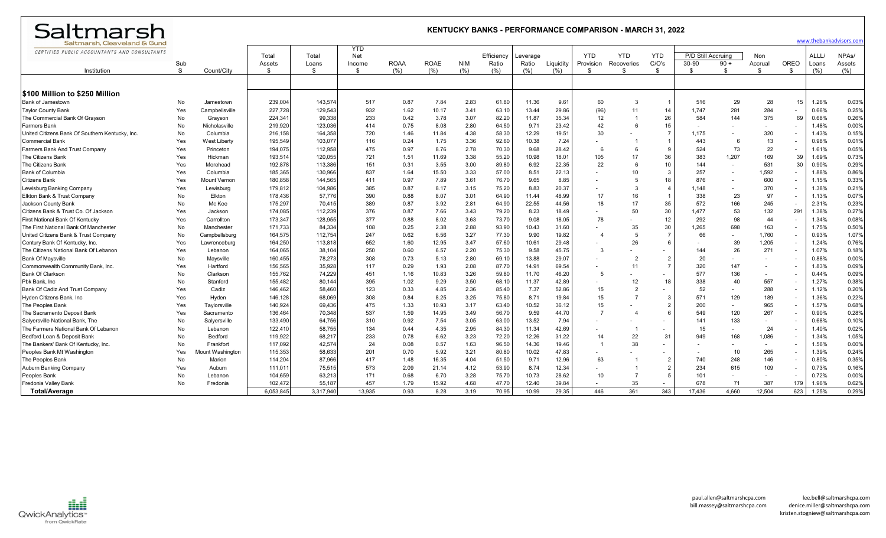| Saltmarsh, Cleaveland & Gund<br><b>YTD</b><br>CERTIFIED PUBLIC ACCOUNTANTS AND CONSULTANTS<br><b>YTD</b><br><b>YTD</b><br><b>YTD</b><br>P/D Still Accruing<br><b>ALLL</b><br>NPA <sub>s</sub> /<br>Total<br>Total<br>Net<br>Efficiency<br>Non<br>Leverage<br>C/O's<br><b>OREO</b><br><b>ROAA</b><br><b>ROAE</b><br><b>NIM</b><br>Ratio<br>30-90<br>$90 +$<br>Sub<br>Assets<br>Loans<br>Income<br>Ratio<br>Liquidity<br>Provision<br>Recoveries<br>Accrual<br>Loans<br>Assets<br>S<br>(% )<br>Count/City<br>(%)<br>(% )<br>(%)<br>(% )<br>(%)<br>(% )<br>Institution<br>\$<br>-S<br>$(\%)$<br>-\$<br>-\$<br>-\$<br>\$<br>-\$<br>\$<br>\$<br>\$<br><b>S100 Million to \$250 Million</b><br>239,004<br>143.574<br>517<br>0.87<br>7.84<br>2.83<br>61.80<br>11.36<br>9.61<br>60<br>516<br>29<br>28<br>15<br>1.26%<br><b>Bank of Jamestown</b><br>No<br>3<br>Jamestown<br>284<br><b>Taylor County Bank</b><br>227,728<br>129,543<br>932<br>1.62<br>10.17<br>3.41<br>63.10<br>13.44<br>29.86<br>(96)<br>11<br>1.747<br>281<br>0.66%<br>Yes<br>14<br>Campbellsville<br>375<br>69<br>0.68%<br>The Commercial Bank Of Grayson<br>99,338<br>233<br>0.42<br>82.20<br>11.87<br>35.34<br>26<br>584<br>144<br>No<br>224,341<br>3.78<br>3.07<br>12<br>$\overline{1}$<br>Grayson<br>123,036<br>0.75<br>64.50<br>9.71<br>23.42<br>1.48%<br><b>Farmers Bank</b><br>No<br>Nicholasville<br>219,920<br>414<br>8.08<br>2.80<br>42<br>-6<br>15<br>United Citizens Bank Of Southern Kentucky, Inc.<br>216,158<br>164,358<br>1.46<br>4.38<br>58.30<br>12.29<br>19.51<br>1,175<br>320<br>1.43%<br>No<br>720<br>11.84<br>30<br>$\overline{7}$<br>Columbia<br>195,549<br>103,077<br>10.38<br>13<br>0.98%<br><b>Commercial Bank</b><br>116<br>0.24<br>1.75<br>3.36<br>92.60<br>7.24<br>443<br>Yes<br>West Liberty<br>- 6<br>112,958<br>475<br>0.97<br>9.68<br>28.42<br>524<br>73<br>22<br>1.61%<br>Farmers Bank And Trust Company<br>Yes<br>194,075<br>8.76<br>2.78<br>70.30<br>6<br>-6<br>Princeton<br>9<br>120,055<br>1.51<br>3.38<br>55.20<br>10.98<br>17<br>1,207<br>169<br>39<br>1.69%<br>The Citizens Bank<br>Yes<br>193,514<br>721<br>11.69<br>18.01<br>105<br>36<br>383<br>Hickman<br>531<br>The Citizens Bank<br>Yes<br>192,878<br>113,386<br>151<br>0.31<br>3.55<br>3.00<br>89.80<br>6.92<br>22.35<br>22<br>144<br>30<br>0.90%<br>Morehead<br>-6<br>10<br>1,592<br><b>Bank of Columbia</b><br>185,365<br>130,966<br>837<br>1.64<br>15.50<br>3.33<br>57.00<br>8.51<br>22.13<br>10 <sup>1</sup><br>$\mathcal{R}$<br>257<br>1.88%<br>Yes<br>Columbia<br>876<br>600<br>180,858<br>144,565<br>0.97<br>7.89<br>76.70<br>9.65<br>-5<br>1.15%<br><b>Citizens Bank</b><br>Yes<br>411<br>3.61<br>8.85<br>Mount Vernon<br>370<br>179,812<br>104,986<br>385<br>0.87<br>8.17<br>3.15<br>75.20<br>8.83<br>20.37<br>3<br>1,148<br>1.38%<br>Lewisburg Banking Company<br>Yes<br>Lewisburg<br>$\overline{4}$<br>16<br>178,436<br>57,776<br>390<br>0.88<br>8.07<br>3.01<br>64.90<br>11.44<br>48.99<br>338<br>23<br>97<br>1.13%<br>Elkton Bank & Trust Company<br>No<br>Elkton<br>17<br>17<br>572<br>175,297<br>389<br>0.87<br>3.92<br>64.90<br>22.55<br>44.56<br>35<br>166<br>245<br>2.31%<br>Jackson County Bank<br>No<br>70,415<br>2.81<br>18<br>Mc Kee<br>291<br>1.38%<br>174,085<br>112,239<br>0.87<br>7.66<br>79.20<br>8.23<br>50<br>30<br>1,477<br>53<br>132<br>Citizens Bank & Trust Co. Of Jackson<br>Yes<br>376<br>3.43<br>18.49<br>Jackson<br>98<br>First National Bank Of Kentucky<br>173,347<br>128,955<br>377<br>0.88<br>8.02<br>3.63<br>73.70<br>9.08<br>78<br>292<br>44<br>1.34%<br>Yes<br>Carrollton<br>18.05<br>The First National Bank Of Manchester<br>171,733<br>84,334<br>0.25<br>10.43<br>1,265<br>698<br>163<br>1.75%<br>No<br>108<br>2.38<br>2.88<br>93.90<br>31.60<br>35<br>30<br>Manchester<br>164,575<br>112,754<br>0.62<br>6.56<br>3.27<br>77.30<br>1,760<br>0.93%<br>United Citizens Bank & Trust Company<br>No<br>247<br>9.90<br>19.82<br>5<br>66<br>Campbellsburg<br>$\overline{4}$<br>26<br>1.60<br>3.47<br>57.60<br>10.61<br>29.48<br>39<br>1,205<br>1.24%<br>Century Bank Of Kentucky, Inc.<br>Yes<br>164,250<br>113,818<br>652<br>12.95<br>6<br>Lawrenceburc<br>The Citizens National Bank Of Lebanon<br>75.30<br>9.58<br>26<br>271<br>Yes<br>164,065<br>38,104<br>250<br>0.60<br>6.57<br>2.20<br>45.75<br>3<br>144<br>1.07%<br>Lebanon<br><b>Bank Of Maysville</b><br>160,455<br>78,273<br>308<br>0.73<br>5.13<br>2.80<br>69.10<br>13.88<br>29.07<br>$\overline{2}$<br>20<br>0.88%<br>No<br>$\overline{2}$<br>Maysville<br>156,565<br>320<br>1.83%<br>35,928<br>0.29<br>1.93<br>2.08<br>87.70<br>14.91<br>69.54<br>11<br>147<br>Commonwealth Community Bank, Inc.<br>Yes<br>Hartford<br>117<br><b>Bank Of Clarkson</b><br>74,229<br>451<br>577<br>0.44%<br>No<br>155,762<br>1.16<br>10.83<br>3.26<br>59.80<br>11.70<br>46.20<br>5<br>136<br>Clarkson<br>$\sim$<br>11.37<br>12<br>557<br>Pbk Bank, Inc<br>155,482<br>80,144<br>395<br>1.02<br>9.29<br>3.50<br>68.10<br>42.89<br>18<br>338<br>40<br>1.27%<br>No<br>Stanford<br>Bank Of Cadiz And Trust Company<br>Yes<br>146,462<br>58,460<br>123<br>0.33<br>4.85<br>2.36<br>85.40<br>7.37<br>52.86<br>$\overline{2}$<br>52<br>288<br>1.12%<br>Cadiz<br>15<br>571<br>146,128<br>68,069<br>308<br>8.25<br>3.25<br>75.80<br>8.71<br>$\overline{7}$<br>129<br>189<br>1.36%<br>Hyden Citizens Bank, Inc.<br>Yes<br>0.84<br>19.84<br>15<br>Hyden<br>3<br>1.33<br>10.52<br>36.12<br>200<br>965<br>1.57%<br>The Peoples Bank<br>140,924<br>69,436<br>475<br>10.93<br>3.17<br>63.40<br>Yes<br>Taylorsville<br>15<br>$\overline{2}$<br>136,464<br>70.348<br>537<br>1.59<br>14.95<br>3.49<br>56.70<br>9.59<br>$\overline{7}$<br>549<br>120<br>267<br>0.90%<br>The Sacramento Deposit Bank<br>Yes<br>44.70<br>$\overline{4}$<br>6<br>Sacramento<br>13.52<br>133,490<br>64,756<br>0.92<br>7.54<br>3.05<br>63.00<br>133<br>0.68%<br>Salversville National Bank, The<br>310<br>7.94<br>141<br>No<br>Salyersville<br>58,755<br>0.02%<br>The Farmers National Bank Of Lebanon<br>122,410<br>134<br>0.44<br>4.35<br>2.95<br>84.30<br>11.34<br>42.69<br>15<br>24<br>1.40%<br>No<br>Lebanon<br>72.20<br>12.26<br>22<br>1,086<br>Bedford Loan & Deposit Bank<br>119,922<br>68,217<br>233<br>0.78<br>6.62<br>3.23<br>31.22<br>949<br>168<br>1.34%<br>No<br>Bedford<br>$3^{\circ}$<br>14<br>42,574<br>24<br>0.08<br>14.36<br>38<br>1.56%<br>The Bankers' Bank Of Kentucky, Inc.<br>No<br>Frankfort<br>117,092<br>0.57<br>1.63<br>96.50<br>19.46<br>10.02<br>265<br>1.39%<br>Peoples Bank Mt Washingtor<br>115,353<br>58,633<br>201<br>0.70<br>5.92<br>80.80<br>47.83<br>10<br>Yes<br>Mount Washington<br>3.21<br>740<br>The Peoples Bank<br>No<br>114,204<br>87,966<br>1.48<br>16.35<br>4.04<br>51.50<br>9.71<br>12.96<br>63<br>248<br>146<br>0.80%<br>417<br>Marion<br>2<br>234<br>109<br>0.16%<br>Auburn Banking Company<br>111,011<br>75,515<br>573<br>2.09<br>21.14<br>4.12<br>53.90<br>8.74<br>12.34<br>$\overline{2}$<br>615<br>0.73%<br>Yes<br>Auburn<br>$\overline{1}$<br>101<br>0.72%<br>0.00%<br>Peoples Bank<br>104,659<br>63,213<br>171<br>0.68<br>6.70<br>3.28<br>75.70<br>10.73<br>28.62<br>10<br>$\overline{7}$<br>5<br>No<br>Lebanor<br>Fredonia Valley Bank<br>102.472<br>55.187<br>457<br>1.79<br>15.92<br>4.68<br>12.40<br>39.84<br>35<br>678<br>387<br>179<br>1.96%<br>No<br>47.70<br>71<br>Fredonia<br>70.95<br>361<br>12.504<br>623<br>1.25%<br><b>Total/Average</b><br>6,053,845<br>3,317,940<br>13,935<br>8.28<br>3.19<br>10.99<br>29.35<br>446<br>343<br>17,436<br>4,660<br>0.93 | Saltmarsh |  | <b>KENTUCKY BANKS - PERFORMANCE COMPARISON - MARCH 31, 2022</b> |  |  |  |  |  |  |  |  |  |  |  |  |  |                         |  |  |       |
|----------------------------------------------------------------------------------------------------------------------------------------------------------------------------------------------------------------------------------------------------------------------------------------------------------------------------------------------------------------------------------------------------------------------------------------------------------------------------------------------------------------------------------------------------------------------------------------------------------------------------------------------------------------------------------------------------------------------------------------------------------------------------------------------------------------------------------------------------------------------------------------------------------------------------------------------------------------------------------------------------------------------------------------------------------------------------------------------------------------------------------------------------------------------------------------------------------------------------------------------------------------------------------------------------------------------------------------------------------------------------------------------------------------------------------------------------------------------------------------------------------------------------------------------------------------------------------------------------------------------------------------------------------------------------------------------------------------------------------------------------------------------------------------------------------------------------------------------------------------------------------------------------------------------------------------------------------------------------------------------------------------------------------------------------------------------------------------------------------------------------------------------------------------------------------------------------------------------------------------------------------------------------------------------------------------------------------------------------------------------------------------------------------------------------------------------------------------------------------------------------------------------------------------------------------------------------------------------------------------------------------------------------------------------------------------------------------------------------------------------------------------------------------------------------------------------------------------------------------------------------------------------------------------------------------------------------------------------------------------------------------------------------------------------------------------------------------------------------------------------------------------------------------------------------------------------------------------------------------------------------------------------------------------------------------------------------------------------------------------------------------------------------------------------------------------------------------------------------------------------------------------------------------------------------------------------------------------------------------------------------------------------------------------------------------------------------------------------------------------------------------------------------------------------------------------------------------------------------------------------------------------------------------------------------------------------------------------------------------------------------------------------------------------------------------------------------------------------------------------------------------------------------------------------------------------------------------------------------------------------------------------------------------------------------------------------------------------------------------------------------------------------------------------------------------------------------------------------------------------------------------------------------------------------------------------------------------------------------------------------------------------------------------------------------------------------------------------------------------------------------------------------------------------------------------------------------------------------------------------------------------------------------------------------------------------------------------------------------------------------------------------------------------------------------------------------------------------------------------------------------------------------------------------------------------------------------------------------------------------------------------------------------------------------------------------------------------------------------------------------------------------------------------------------------------------------------------------------------------------------------------------------------------------------------------------------------------------------------------------------------------------------------------------------------------------------------------------------------------------------------------------------------------------------------------------------------------------------------------------------------------------------------------------------------------------------------------------------------------------------------------------------------------------------------------------------------------------------------------------------------------------------------------------------------------------------------------------------------------------------------------------------------------------------------------------------------------------------------------------------------------------------------------------------------------------------------------------------------------------------------------------------------------------------------------------------------------------------------------------------------------------------------------------------------------------------------------------------------------------------------------------------------------------------------------------------------------------------------------------------------------------------------------------------------------------------------------------------------------------------------------------------------------------------------------------------------------------------------------------------------------------------------------------------------------------------------------------------------------------------------------------------------------------------------------------------------------------------------------------------------------------------------------------------------------------------------------------------------------------------------------------------------------|-----------|--|-----------------------------------------------------------------|--|--|--|--|--|--|--|--|--|--|--|--|--|-------------------------|--|--|-------|
|                                                                                                                                                                                                                                                                                                                                                                                                                                                                                                                                                                                                                                                                                                                                                                                                                                                                                                                                                                                                                                                                                                                                                                                                                                                                                                                                                                                                                                                                                                                                                                                                                                                                                                                                                                                                                                                                                                                                                                                                                                                                                                                                                                                                                                                                                                                                                                                                                                                                                                                                                                                                                                                                                                                                                                                                                                                                                                                                                                                                                                                                                                                                                                                                                                                                                                                                                                                                                                                                                                                                                                                                                                                                                                                                                                                                                                                                                                                                                                                                                                                                                                                                                                                                                                                                                                                                                                                                                                                                                                                                                                                                                                                                                                                                                                                                                                                                                                                                                                                                                                                                                                                                                                                                                                                                                                                                                                                                                                                                                                                                                                                                                                                                                                                                                                                                                                                                                                                                                                                                                                                                                                                                                                                                                                                                                                                                                                                                                                                                                                                                                                                                                                                                                                                                                                                                                                                                                                                                                                                                                                                                                                                                                                                                                                                                                                                                                                                                                                                                                                                                  |           |  |                                                                 |  |  |  |  |  |  |  |  |  |  |  |  |  | www.thebankadvisors.com |  |  |       |
|                                                                                                                                                                                                                                                                                                                                                                                                                                                                                                                                                                                                                                                                                                                                                                                                                                                                                                                                                                                                                                                                                                                                                                                                                                                                                                                                                                                                                                                                                                                                                                                                                                                                                                                                                                                                                                                                                                                                                                                                                                                                                                                                                                                                                                                                                                                                                                                                                                                                                                                                                                                                                                                                                                                                                                                                                                                                                                                                                                                                                                                                                                                                                                                                                                                                                                                                                                                                                                                                                                                                                                                                                                                                                                                                                                                                                                                                                                                                                                                                                                                                                                                                                                                                                                                                                                                                                                                                                                                                                                                                                                                                                                                                                                                                                                                                                                                                                                                                                                                                                                                                                                                                                                                                                                                                                                                                                                                                                                                                                                                                                                                                                                                                                                                                                                                                                                                                                                                                                                                                                                                                                                                                                                                                                                                                                                                                                                                                                                                                                                                                                                                                                                                                                                                                                                                                                                                                                                                                                                                                                                                                                                                                                                                                                                                                                                                                                                                                                                                                                                                                  |           |  |                                                                 |  |  |  |  |  |  |  |  |  |  |  |  |  |                         |  |  |       |
|                                                                                                                                                                                                                                                                                                                                                                                                                                                                                                                                                                                                                                                                                                                                                                                                                                                                                                                                                                                                                                                                                                                                                                                                                                                                                                                                                                                                                                                                                                                                                                                                                                                                                                                                                                                                                                                                                                                                                                                                                                                                                                                                                                                                                                                                                                                                                                                                                                                                                                                                                                                                                                                                                                                                                                                                                                                                                                                                                                                                                                                                                                                                                                                                                                                                                                                                                                                                                                                                                                                                                                                                                                                                                                                                                                                                                                                                                                                                                                                                                                                                                                                                                                                                                                                                                                                                                                                                                                                                                                                                                                                                                                                                                                                                                                                                                                                                                                                                                                                                                                                                                                                                                                                                                                                                                                                                                                                                                                                                                                                                                                                                                                                                                                                                                                                                                                                                                                                                                                                                                                                                                                                                                                                                                                                                                                                                                                                                                                                                                                                                                                                                                                                                                                                                                                                                                                                                                                                                                                                                                                                                                                                                                                                                                                                                                                                                                                                                                                                                                                                                  |           |  |                                                                 |  |  |  |  |  |  |  |  |  |  |  |  |  |                         |  |  |       |
|                                                                                                                                                                                                                                                                                                                                                                                                                                                                                                                                                                                                                                                                                                                                                                                                                                                                                                                                                                                                                                                                                                                                                                                                                                                                                                                                                                                                                                                                                                                                                                                                                                                                                                                                                                                                                                                                                                                                                                                                                                                                                                                                                                                                                                                                                                                                                                                                                                                                                                                                                                                                                                                                                                                                                                                                                                                                                                                                                                                                                                                                                                                                                                                                                                                                                                                                                                                                                                                                                                                                                                                                                                                                                                                                                                                                                                                                                                                                                                                                                                                                                                                                                                                                                                                                                                                                                                                                                                                                                                                                                                                                                                                                                                                                                                                                                                                                                                                                                                                                                                                                                                                                                                                                                                                                                                                                                                                                                                                                                                                                                                                                                                                                                                                                                                                                                                                                                                                                                                                                                                                                                                                                                                                                                                                                                                                                                                                                                                                                                                                                                                                                                                                                                                                                                                                                                                                                                                                                                                                                                                                                                                                                                                                                                                                                                                                                                                                                                                                                                                                                  |           |  |                                                                 |  |  |  |  |  |  |  |  |  |  |  |  |  |                         |  |  |       |
|                                                                                                                                                                                                                                                                                                                                                                                                                                                                                                                                                                                                                                                                                                                                                                                                                                                                                                                                                                                                                                                                                                                                                                                                                                                                                                                                                                                                                                                                                                                                                                                                                                                                                                                                                                                                                                                                                                                                                                                                                                                                                                                                                                                                                                                                                                                                                                                                                                                                                                                                                                                                                                                                                                                                                                                                                                                                                                                                                                                                                                                                                                                                                                                                                                                                                                                                                                                                                                                                                                                                                                                                                                                                                                                                                                                                                                                                                                                                                                                                                                                                                                                                                                                                                                                                                                                                                                                                                                                                                                                                                                                                                                                                                                                                                                                                                                                                                                                                                                                                                                                                                                                                                                                                                                                                                                                                                                                                                                                                                                                                                                                                                                                                                                                                                                                                                                                                                                                                                                                                                                                                                                                                                                                                                                                                                                                                                                                                                                                                                                                                                                                                                                                                                                                                                                                                                                                                                                                                                                                                                                                                                                                                                                                                                                                                                                                                                                                                                                                                                                                                  |           |  |                                                                 |  |  |  |  |  |  |  |  |  |  |  |  |  |                         |  |  |       |
|                                                                                                                                                                                                                                                                                                                                                                                                                                                                                                                                                                                                                                                                                                                                                                                                                                                                                                                                                                                                                                                                                                                                                                                                                                                                                                                                                                                                                                                                                                                                                                                                                                                                                                                                                                                                                                                                                                                                                                                                                                                                                                                                                                                                                                                                                                                                                                                                                                                                                                                                                                                                                                                                                                                                                                                                                                                                                                                                                                                                                                                                                                                                                                                                                                                                                                                                                                                                                                                                                                                                                                                                                                                                                                                                                                                                                                                                                                                                                                                                                                                                                                                                                                                                                                                                                                                                                                                                                                                                                                                                                                                                                                                                                                                                                                                                                                                                                                                                                                                                                                                                                                                                                                                                                                                                                                                                                                                                                                                                                                                                                                                                                                                                                                                                                                                                                                                                                                                                                                                                                                                                                                                                                                                                                                                                                                                                                                                                                                                                                                                                                                                                                                                                                                                                                                                                                                                                                                                                                                                                                                                                                                                                                                                                                                                                                                                                                                                                                                                                                                                                  |           |  |                                                                 |  |  |  |  |  |  |  |  |  |  |  |  |  |                         |  |  |       |
|                                                                                                                                                                                                                                                                                                                                                                                                                                                                                                                                                                                                                                                                                                                                                                                                                                                                                                                                                                                                                                                                                                                                                                                                                                                                                                                                                                                                                                                                                                                                                                                                                                                                                                                                                                                                                                                                                                                                                                                                                                                                                                                                                                                                                                                                                                                                                                                                                                                                                                                                                                                                                                                                                                                                                                                                                                                                                                                                                                                                                                                                                                                                                                                                                                                                                                                                                                                                                                                                                                                                                                                                                                                                                                                                                                                                                                                                                                                                                                                                                                                                                                                                                                                                                                                                                                                                                                                                                                                                                                                                                                                                                                                                                                                                                                                                                                                                                                                                                                                                                                                                                                                                                                                                                                                                                                                                                                                                                                                                                                                                                                                                                                                                                                                                                                                                                                                                                                                                                                                                                                                                                                                                                                                                                                                                                                                                                                                                                                                                                                                                                                                                                                                                                                                                                                                                                                                                                                                                                                                                                                                                                                                                                                                                                                                                                                                                                                                                                                                                                                                                  |           |  |                                                                 |  |  |  |  |  |  |  |  |  |  |  |  |  |                         |  |  |       |
|                                                                                                                                                                                                                                                                                                                                                                                                                                                                                                                                                                                                                                                                                                                                                                                                                                                                                                                                                                                                                                                                                                                                                                                                                                                                                                                                                                                                                                                                                                                                                                                                                                                                                                                                                                                                                                                                                                                                                                                                                                                                                                                                                                                                                                                                                                                                                                                                                                                                                                                                                                                                                                                                                                                                                                                                                                                                                                                                                                                                                                                                                                                                                                                                                                                                                                                                                                                                                                                                                                                                                                                                                                                                                                                                                                                                                                                                                                                                                                                                                                                                                                                                                                                                                                                                                                                                                                                                                                                                                                                                                                                                                                                                                                                                                                                                                                                                                                                                                                                                                                                                                                                                                                                                                                                                                                                                                                                                                                                                                                                                                                                                                                                                                                                                                                                                                                                                                                                                                                                                                                                                                                                                                                                                                                                                                                                                                                                                                                                                                                                                                                                                                                                                                                                                                                                                                                                                                                                                                                                                                                                                                                                                                                                                                                                                                                                                                                                                                                                                                                                                  |           |  |                                                                 |  |  |  |  |  |  |  |  |  |  |  |  |  |                         |  |  | 0.03% |
|                                                                                                                                                                                                                                                                                                                                                                                                                                                                                                                                                                                                                                                                                                                                                                                                                                                                                                                                                                                                                                                                                                                                                                                                                                                                                                                                                                                                                                                                                                                                                                                                                                                                                                                                                                                                                                                                                                                                                                                                                                                                                                                                                                                                                                                                                                                                                                                                                                                                                                                                                                                                                                                                                                                                                                                                                                                                                                                                                                                                                                                                                                                                                                                                                                                                                                                                                                                                                                                                                                                                                                                                                                                                                                                                                                                                                                                                                                                                                                                                                                                                                                                                                                                                                                                                                                                                                                                                                                                                                                                                                                                                                                                                                                                                                                                                                                                                                                                                                                                                                                                                                                                                                                                                                                                                                                                                                                                                                                                                                                                                                                                                                                                                                                                                                                                                                                                                                                                                                                                                                                                                                                                                                                                                                                                                                                                                                                                                                                                                                                                                                                                                                                                                                                                                                                                                                                                                                                                                                                                                                                                                                                                                                                                                                                                                                                                                                                                                                                                                                                                                  |           |  |                                                                 |  |  |  |  |  |  |  |  |  |  |  |  |  |                         |  |  | 0.25% |
|                                                                                                                                                                                                                                                                                                                                                                                                                                                                                                                                                                                                                                                                                                                                                                                                                                                                                                                                                                                                                                                                                                                                                                                                                                                                                                                                                                                                                                                                                                                                                                                                                                                                                                                                                                                                                                                                                                                                                                                                                                                                                                                                                                                                                                                                                                                                                                                                                                                                                                                                                                                                                                                                                                                                                                                                                                                                                                                                                                                                                                                                                                                                                                                                                                                                                                                                                                                                                                                                                                                                                                                                                                                                                                                                                                                                                                                                                                                                                                                                                                                                                                                                                                                                                                                                                                                                                                                                                                                                                                                                                                                                                                                                                                                                                                                                                                                                                                                                                                                                                                                                                                                                                                                                                                                                                                                                                                                                                                                                                                                                                                                                                                                                                                                                                                                                                                                                                                                                                                                                                                                                                                                                                                                                                                                                                                                                                                                                                                                                                                                                                                                                                                                                                                                                                                                                                                                                                                                                                                                                                                                                                                                                                                                                                                                                                                                                                                                                                                                                                                                                  |           |  |                                                                 |  |  |  |  |  |  |  |  |  |  |  |  |  |                         |  |  | 0.26% |
|                                                                                                                                                                                                                                                                                                                                                                                                                                                                                                                                                                                                                                                                                                                                                                                                                                                                                                                                                                                                                                                                                                                                                                                                                                                                                                                                                                                                                                                                                                                                                                                                                                                                                                                                                                                                                                                                                                                                                                                                                                                                                                                                                                                                                                                                                                                                                                                                                                                                                                                                                                                                                                                                                                                                                                                                                                                                                                                                                                                                                                                                                                                                                                                                                                                                                                                                                                                                                                                                                                                                                                                                                                                                                                                                                                                                                                                                                                                                                                                                                                                                                                                                                                                                                                                                                                                                                                                                                                                                                                                                                                                                                                                                                                                                                                                                                                                                                                                                                                                                                                                                                                                                                                                                                                                                                                                                                                                                                                                                                                                                                                                                                                                                                                                                                                                                                                                                                                                                                                                                                                                                                                                                                                                                                                                                                                                                                                                                                                                                                                                                                                                                                                                                                                                                                                                                                                                                                                                                                                                                                                                                                                                                                                                                                                                                                                                                                                                                                                                                                                                                  |           |  |                                                                 |  |  |  |  |  |  |  |  |  |  |  |  |  |                         |  |  | 0.00% |
|                                                                                                                                                                                                                                                                                                                                                                                                                                                                                                                                                                                                                                                                                                                                                                                                                                                                                                                                                                                                                                                                                                                                                                                                                                                                                                                                                                                                                                                                                                                                                                                                                                                                                                                                                                                                                                                                                                                                                                                                                                                                                                                                                                                                                                                                                                                                                                                                                                                                                                                                                                                                                                                                                                                                                                                                                                                                                                                                                                                                                                                                                                                                                                                                                                                                                                                                                                                                                                                                                                                                                                                                                                                                                                                                                                                                                                                                                                                                                                                                                                                                                                                                                                                                                                                                                                                                                                                                                                                                                                                                                                                                                                                                                                                                                                                                                                                                                                                                                                                                                                                                                                                                                                                                                                                                                                                                                                                                                                                                                                                                                                                                                                                                                                                                                                                                                                                                                                                                                                                                                                                                                                                                                                                                                                                                                                                                                                                                                                                                                                                                                                                                                                                                                                                                                                                                                                                                                                                                                                                                                                                                                                                                                                                                                                                                                                                                                                                                                                                                                                                                  |           |  |                                                                 |  |  |  |  |  |  |  |  |  |  |  |  |  |                         |  |  | 0.15% |
|                                                                                                                                                                                                                                                                                                                                                                                                                                                                                                                                                                                                                                                                                                                                                                                                                                                                                                                                                                                                                                                                                                                                                                                                                                                                                                                                                                                                                                                                                                                                                                                                                                                                                                                                                                                                                                                                                                                                                                                                                                                                                                                                                                                                                                                                                                                                                                                                                                                                                                                                                                                                                                                                                                                                                                                                                                                                                                                                                                                                                                                                                                                                                                                                                                                                                                                                                                                                                                                                                                                                                                                                                                                                                                                                                                                                                                                                                                                                                                                                                                                                                                                                                                                                                                                                                                                                                                                                                                                                                                                                                                                                                                                                                                                                                                                                                                                                                                                                                                                                                                                                                                                                                                                                                                                                                                                                                                                                                                                                                                                                                                                                                                                                                                                                                                                                                                                                                                                                                                                                                                                                                                                                                                                                                                                                                                                                                                                                                                                                                                                                                                                                                                                                                                                                                                                                                                                                                                                                                                                                                                                                                                                                                                                                                                                                                                                                                                                                                                                                                                                                  |           |  |                                                                 |  |  |  |  |  |  |  |  |  |  |  |  |  |                         |  |  | 0.01% |
|                                                                                                                                                                                                                                                                                                                                                                                                                                                                                                                                                                                                                                                                                                                                                                                                                                                                                                                                                                                                                                                                                                                                                                                                                                                                                                                                                                                                                                                                                                                                                                                                                                                                                                                                                                                                                                                                                                                                                                                                                                                                                                                                                                                                                                                                                                                                                                                                                                                                                                                                                                                                                                                                                                                                                                                                                                                                                                                                                                                                                                                                                                                                                                                                                                                                                                                                                                                                                                                                                                                                                                                                                                                                                                                                                                                                                                                                                                                                                                                                                                                                                                                                                                                                                                                                                                                                                                                                                                                                                                                                                                                                                                                                                                                                                                                                                                                                                                                                                                                                                                                                                                                                                                                                                                                                                                                                                                                                                                                                                                                                                                                                                                                                                                                                                                                                                                                                                                                                                                                                                                                                                                                                                                                                                                                                                                                                                                                                                                                                                                                                                                                                                                                                                                                                                                                                                                                                                                                                                                                                                                                                                                                                                                                                                                                                                                                                                                                                                                                                                                                                  |           |  |                                                                 |  |  |  |  |  |  |  |  |  |  |  |  |  |                         |  |  | 0.05% |
|                                                                                                                                                                                                                                                                                                                                                                                                                                                                                                                                                                                                                                                                                                                                                                                                                                                                                                                                                                                                                                                                                                                                                                                                                                                                                                                                                                                                                                                                                                                                                                                                                                                                                                                                                                                                                                                                                                                                                                                                                                                                                                                                                                                                                                                                                                                                                                                                                                                                                                                                                                                                                                                                                                                                                                                                                                                                                                                                                                                                                                                                                                                                                                                                                                                                                                                                                                                                                                                                                                                                                                                                                                                                                                                                                                                                                                                                                                                                                                                                                                                                                                                                                                                                                                                                                                                                                                                                                                                                                                                                                                                                                                                                                                                                                                                                                                                                                                                                                                                                                                                                                                                                                                                                                                                                                                                                                                                                                                                                                                                                                                                                                                                                                                                                                                                                                                                                                                                                                                                                                                                                                                                                                                                                                                                                                                                                                                                                                                                                                                                                                                                                                                                                                                                                                                                                                                                                                                                                                                                                                                                                                                                                                                                                                                                                                                                                                                                                                                                                                                                                  |           |  |                                                                 |  |  |  |  |  |  |  |  |  |  |  |  |  |                         |  |  | 0.73% |
|                                                                                                                                                                                                                                                                                                                                                                                                                                                                                                                                                                                                                                                                                                                                                                                                                                                                                                                                                                                                                                                                                                                                                                                                                                                                                                                                                                                                                                                                                                                                                                                                                                                                                                                                                                                                                                                                                                                                                                                                                                                                                                                                                                                                                                                                                                                                                                                                                                                                                                                                                                                                                                                                                                                                                                                                                                                                                                                                                                                                                                                                                                                                                                                                                                                                                                                                                                                                                                                                                                                                                                                                                                                                                                                                                                                                                                                                                                                                                                                                                                                                                                                                                                                                                                                                                                                                                                                                                                                                                                                                                                                                                                                                                                                                                                                                                                                                                                                                                                                                                                                                                                                                                                                                                                                                                                                                                                                                                                                                                                                                                                                                                                                                                                                                                                                                                                                                                                                                                                                                                                                                                                                                                                                                                                                                                                                                                                                                                                                                                                                                                                                                                                                                                                                                                                                                                                                                                                                                                                                                                                                                                                                                                                                                                                                                                                                                                                                                                                                                                                                                  |           |  |                                                                 |  |  |  |  |  |  |  |  |  |  |  |  |  |                         |  |  | 0.29% |
|                                                                                                                                                                                                                                                                                                                                                                                                                                                                                                                                                                                                                                                                                                                                                                                                                                                                                                                                                                                                                                                                                                                                                                                                                                                                                                                                                                                                                                                                                                                                                                                                                                                                                                                                                                                                                                                                                                                                                                                                                                                                                                                                                                                                                                                                                                                                                                                                                                                                                                                                                                                                                                                                                                                                                                                                                                                                                                                                                                                                                                                                                                                                                                                                                                                                                                                                                                                                                                                                                                                                                                                                                                                                                                                                                                                                                                                                                                                                                                                                                                                                                                                                                                                                                                                                                                                                                                                                                                                                                                                                                                                                                                                                                                                                                                                                                                                                                                                                                                                                                                                                                                                                                                                                                                                                                                                                                                                                                                                                                                                                                                                                                                                                                                                                                                                                                                                                                                                                                                                                                                                                                                                                                                                                                                                                                                                                                                                                                                                                                                                                                                                                                                                                                                                                                                                                                                                                                                                                                                                                                                                                                                                                                                                                                                                                                                                                                                                                                                                                                                                                  |           |  |                                                                 |  |  |  |  |  |  |  |  |  |  |  |  |  |                         |  |  | 0.86% |
|                                                                                                                                                                                                                                                                                                                                                                                                                                                                                                                                                                                                                                                                                                                                                                                                                                                                                                                                                                                                                                                                                                                                                                                                                                                                                                                                                                                                                                                                                                                                                                                                                                                                                                                                                                                                                                                                                                                                                                                                                                                                                                                                                                                                                                                                                                                                                                                                                                                                                                                                                                                                                                                                                                                                                                                                                                                                                                                                                                                                                                                                                                                                                                                                                                                                                                                                                                                                                                                                                                                                                                                                                                                                                                                                                                                                                                                                                                                                                                                                                                                                                                                                                                                                                                                                                                                                                                                                                                                                                                                                                                                                                                                                                                                                                                                                                                                                                                                                                                                                                                                                                                                                                                                                                                                                                                                                                                                                                                                                                                                                                                                                                                                                                                                                                                                                                                                                                                                                                                                                                                                                                                                                                                                                                                                                                                                                                                                                                                                                                                                                                                                                                                                                                                                                                                                                                                                                                                                                                                                                                                                                                                                                                                                                                                                                                                                                                                                                                                                                                                                                  |           |  |                                                                 |  |  |  |  |  |  |  |  |  |  |  |  |  |                         |  |  | 0.33% |
|                                                                                                                                                                                                                                                                                                                                                                                                                                                                                                                                                                                                                                                                                                                                                                                                                                                                                                                                                                                                                                                                                                                                                                                                                                                                                                                                                                                                                                                                                                                                                                                                                                                                                                                                                                                                                                                                                                                                                                                                                                                                                                                                                                                                                                                                                                                                                                                                                                                                                                                                                                                                                                                                                                                                                                                                                                                                                                                                                                                                                                                                                                                                                                                                                                                                                                                                                                                                                                                                                                                                                                                                                                                                                                                                                                                                                                                                                                                                                                                                                                                                                                                                                                                                                                                                                                                                                                                                                                                                                                                                                                                                                                                                                                                                                                                                                                                                                                                                                                                                                                                                                                                                                                                                                                                                                                                                                                                                                                                                                                                                                                                                                                                                                                                                                                                                                                                                                                                                                                                                                                                                                                                                                                                                                                                                                                                                                                                                                                                                                                                                                                                                                                                                                                                                                                                                                                                                                                                                                                                                                                                                                                                                                                                                                                                                                                                                                                                                                                                                                                                                  |           |  |                                                                 |  |  |  |  |  |  |  |  |  |  |  |  |  |                         |  |  | 0.21% |
|                                                                                                                                                                                                                                                                                                                                                                                                                                                                                                                                                                                                                                                                                                                                                                                                                                                                                                                                                                                                                                                                                                                                                                                                                                                                                                                                                                                                                                                                                                                                                                                                                                                                                                                                                                                                                                                                                                                                                                                                                                                                                                                                                                                                                                                                                                                                                                                                                                                                                                                                                                                                                                                                                                                                                                                                                                                                                                                                                                                                                                                                                                                                                                                                                                                                                                                                                                                                                                                                                                                                                                                                                                                                                                                                                                                                                                                                                                                                                                                                                                                                                                                                                                                                                                                                                                                                                                                                                                                                                                                                                                                                                                                                                                                                                                                                                                                                                                                                                                                                                                                                                                                                                                                                                                                                                                                                                                                                                                                                                                                                                                                                                                                                                                                                                                                                                                                                                                                                                                                                                                                                                                                                                                                                                                                                                                                                                                                                                                                                                                                                                                                                                                                                                                                                                                                                                                                                                                                                                                                                                                                                                                                                                                                                                                                                                                                                                                                                                                                                                                                                  |           |  |                                                                 |  |  |  |  |  |  |  |  |  |  |  |  |  |                         |  |  | 0.07% |
|                                                                                                                                                                                                                                                                                                                                                                                                                                                                                                                                                                                                                                                                                                                                                                                                                                                                                                                                                                                                                                                                                                                                                                                                                                                                                                                                                                                                                                                                                                                                                                                                                                                                                                                                                                                                                                                                                                                                                                                                                                                                                                                                                                                                                                                                                                                                                                                                                                                                                                                                                                                                                                                                                                                                                                                                                                                                                                                                                                                                                                                                                                                                                                                                                                                                                                                                                                                                                                                                                                                                                                                                                                                                                                                                                                                                                                                                                                                                                                                                                                                                                                                                                                                                                                                                                                                                                                                                                                                                                                                                                                                                                                                                                                                                                                                                                                                                                                                                                                                                                                                                                                                                                                                                                                                                                                                                                                                                                                                                                                                                                                                                                                                                                                                                                                                                                                                                                                                                                                                                                                                                                                                                                                                                                                                                                                                                                                                                                                                                                                                                                                                                                                                                                                                                                                                                                                                                                                                                                                                                                                                                                                                                                                                                                                                                                                                                                                                                                                                                                                                                  |           |  |                                                                 |  |  |  |  |  |  |  |  |  |  |  |  |  |                         |  |  | 0.23% |
|                                                                                                                                                                                                                                                                                                                                                                                                                                                                                                                                                                                                                                                                                                                                                                                                                                                                                                                                                                                                                                                                                                                                                                                                                                                                                                                                                                                                                                                                                                                                                                                                                                                                                                                                                                                                                                                                                                                                                                                                                                                                                                                                                                                                                                                                                                                                                                                                                                                                                                                                                                                                                                                                                                                                                                                                                                                                                                                                                                                                                                                                                                                                                                                                                                                                                                                                                                                                                                                                                                                                                                                                                                                                                                                                                                                                                                                                                                                                                                                                                                                                                                                                                                                                                                                                                                                                                                                                                                                                                                                                                                                                                                                                                                                                                                                                                                                                                                                                                                                                                                                                                                                                                                                                                                                                                                                                                                                                                                                                                                                                                                                                                                                                                                                                                                                                                                                                                                                                                                                                                                                                                                                                                                                                                                                                                                                                                                                                                                                                                                                                                                                                                                                                                                                                                                                                                                                                                                                                                                                                                                                                                                                                                                                                                                                                                                                                                                                                                                                                                                                                  |           |  |                                                                 |  |  |  |  |  |  |  |  |  |  |  |  |  |                         |  |  | 0.27% |
|                                                                                                                                                                                                                                                                                                                                                                                                                                                                                                                                                                                                                                                                                                                                                                                                                                                                                                                                                                                                                                                                                                                                                                                                                                                                                                                                                                                                                                                                                                                                                                                                                                                                                                                                                                                                                                                                                                                                                                                                                                                                                                                                                                                                                                                                                                                                                                                                                                                                                                                                                                                                                                                                                                                                                                                                                                                                                                                                                                                                                                                                                                                                                                                                                                                                                                                                                                                                                                                                                                                                                                                                                                                                                                                                                                                                                                                                                                                                                                                                                                                                                                                                                                                                                                                                                                                                                                                                                                                                                                                                                                                                                                                                                                                                                                                                                                                                                                                                                                                                                                                                                                                                                                                                                                                                                                                                                                                                                                                                                                                                                                                                                                                                                                                                                                                                                                                                                                                                                                                                                                                                                                                                                                                                                                                                                                                                                                                                                                                                                                                                                                                                                                                                                                                                                                                                                                                                                                                                                                                                                                                                                                                                                                                                                                                                                                                                                                                                                                                                                                                                  |           |  |                                                                 |  |  |  |  |  |  |  |  |  |  |  |  |  |                         |  |  | 0.08% |
|                                                                                                                                                                                                                                                                                                                                                                                                                                                                                                                                                                                                                                                                                                                                                                                                                                                                                                                                                                                                                                                                                                                                                                                                                                                                                                                                                                                                                                                                                                                                                                                                                                                                                                                                                                                                                                                                                                                                                                                                                                                                                                                                                                                                                                                                                                                                                                                                                                                                                                                                                                                                                                                                                                                                                                                                                                                                                                                                                                                                                                                                                                                                                                                                                                                                                                                                                                                                                                                                                                                                                                                                                                                                                                                                                                                                                                                                                                                                                                                                                                                                                                                                                                                                                                                                                                                                                                                                                                                                                                                                                                                                                                                                                                                                                                                                                                                                                                                                                                                                                                                                                                                                                                                                                                                                                                                                                                                                                                                                                                                                                                                                                                                                                                                                                                                                                                                                                                                                                                                                                                                                                                                                                                                                                                                                                                                                                                                                                                                                                                                                                                                                                                                                                                                                                                                                                                                                                                                                                                                                                                                                                                                                                                                                                                                                                                                                                                                                                                                                                                                                  |           |  |                                                                 |  |  |  |  |  |  |  |  |  |  |  |  |  |                         |  |  | 0.50% |
|                                                                                                                                                                                                                                                                                                                                                                                                                                                                                                                                                                                                                                                                                                                                                                                                                                                                                                                                                                                                                                                                                                                                                                                                                                                                                                                                                                                                                                                                                                                                                                                                                                                                                                                                                                                                                                                                                                                                                                                                                                                                                                                                                                                                                                                                                                                                                                                                                                                                                                                                                                                                                                                                                                                                                                                                                                                                                                                                                                                                                                                                                                                                                                                                                                                                                                                                                                                                                                                                                                                                                                                                                                                                                                                                                                                                                                                                                                                                                                                                                                                                                                                                                                                                                                                                                                                                                                                                                                                                                                                                                                                                                                                                                                                                                                                                                                                                                                                                                                                                                                                                                                                                                                                                                                                                                                                                                                                                                                                                                                                                                                                                                                                                                                                                                                                                                                                                                                                                                                                                                                                                                                                                                                                                                                                                                                                                                                                                                                                                                                                                                                                                                                                                                                                                                                                                                                                                                                                                                                                                                                                                                                                                                                                                                                                                                                                                                                                                                                                                                                                                  |           |  |                                                                 |  |  |  |  |  |  |  |  |  |  |  |  |  |                         |  |  | 1.07% |
|                                                                                                                                                                                                                                                                                                                                                                                                                                                                                                                                                                                                                                                                                                                                                                                                                                                                                                                                                                                                                                                                                                                                                                                                                                                                                                                                                                                                                                                                                                                                                                                                                                                                                                                                                                                                                                                                                                                                                                                                                                                                                                                                                                                                                                                                                                                                                                                                                                                                                                                                                                                                                                                                                                                                                                                                                                                                                                                                                                                                                                                                                                                                                                                                                                                                                                                                                                                                                                                                                                                                                                                                                                                                                                                                                                                                                                                                                                                                                                                                                                                                                                                                                                                                                                                                                                                                                                                                                                                                                                                                                                                                                                                                                                                                                                                                                                                                                                                                                                                                                                                                                                                                                                                                                                                                                                                                                                                                                                                                                                                                                                                                                                                                                                                                                                                                                                                                                                                                                                                                                                                                                                                                                                                                                                                                                                                                                                                                                                                                                                                                                                                                                                                                                                                                                                                                                                                                                                                                                                                                                                                                                                                                                                                                                                                                                                                                                                                                                                                                                                                                  |           |  |                                                                 |  |  |  |  |  |  |  |  |  |  |  |  |  |                         |  |  | 0.76% |
|                                                                                                                                                                                                                                                                                                                                                                                                                                                                                                                                                                                                                                                                                                                                                                                                                                                                                                                                                                                                                                                                                                                                                                                                                                                                                                                                                                                                                                                                                                                                                                                                                                                                                                                                                                                                                                                                                                                                                                                                                                                                                                                                                                                                                                                                                                                                                                                                                                                                                                                                                                                                                                                                                                                                                                                                                                                                                                                                                                                                                                                                                                                                                                                                                                                                                                                                                                                                                                                                                                                                                                                                                                                                                                                                                                                                                                                                                                                                                                                                                                                                                                                                                                                                                                                                                                                                                                                                                                                                                                                                                                                                                                                                                                                                                                                                                                                                                                                                                                                                                                                                                                                                                                                                                                                                                                                                                                                                                                                                                                                                                                                                                                                                                                                                                                                                                                                                                                                                                                                                                                                                                                                                                                                                                                                                                                                                                                                                                                                                                                                                                                                                                                                                                                                                                                                                                                                                                                                                                                                                                                                                                                                                                                                                                                                                                                                                                                                                                                                                                                                                  |           |  |                                                                 |  |  |  |  |  |  |  |  |  |  |  |  |  |                         |  |  | 0.18% |
|                                                                                                                                                                                                                                                                                                                                                                                                                                                                                                                                                                                                                                                                                                                                                                                                                                                                                                                                                                                                                                                                                                                                                                                                                                                                                                                                                                                                                                                                                                                                                                                                                                                                                                                                                                                                                                                                                                                                                                                                                                                                                                                                                                                                                                                                                                                                                                                                                                                                                                                                                                                                                                                                                                                                                                                                                                                                                                                                                                                                                                                                                                                                                                                                                                                                                                                                                                                                                                                                                                                                                                                                                                                                                                                                                                                                                                                                                                                                                                                                                                                                                                                                                                                                                                                                                                                                                                                                                                                                                                                                                                                                                                                                                                                                                                                                                                                                                                                                                                                                                                                                                                                                                                                                                                                                                                                                                                                                                                                                                                                                                                                                                                                                                                                                                                                                                                                                                                                                                                                                                                                                                                                                                                                                                                                                                                                                                                                                                                                                                                                                                                                                                                                                                                                                                                                                                                                                                                                                                                                                                                                                                                                                                                                                                                                                                                                                                                                                                                                                                                                                  |           |  |                                                                 |  |  |  |  |  |  |  |  |  |  |  |  |  |                         |  |  | 0.00% |
|                                                                                                                                                                                                                                                                                                                                                                                                                                                                                                                                                                                                                                                                                                                                                                                                                                                                                                                                                                                                                                                                                                                                                                                                                                                                                                                                                                                                                                                                                                                                                                                                                                                                                                                                                                                                                                                                                                                                                                                                                                                                                                                                                                                                                                                                                                                                                                                                                                                                                                                                                                                                                                                                                                                                                                                                                                                                                                                                                                                                                                                                                                                                                                                                                                                                                                                                                                                                                                                                                                                                                                                                                                                                                                                                                                                                                                                                                                                                                                                                                                                                                                                                                                                                                                                                                                                                                                                                                                                                                                                                                                                                                                                                                                                                                                                                                                                                                                                                                                                                                                                                                                                                                                                                                                                                                                                                                                                                                                                                                                                                                                                                                                                                                                                                                                                                                                                                                                                                                                                                                                                                                                                                                                                                                                                                                                                                                                                                                                                                                                                                                                                                                                                                                                                                                                                                                                                                                                                                                                                                                                                                                                                                                                                                                                                                                                                                                                                                                                                                                                                                  |           |  |                                                                 |  |  |  |  |  |  |  |  |  |  |  |  |  |                         |  |  | 0.09% |
|                                                                                                                                                                                                                                                                                                                                                                                                                                                                                                                                                                                                                                                                                                                                                                                                                                                                                                                                                                                                                                                                                                                                                                                                                                                                                                                                                                                                                                                                                                                                                                                                                                                                                                                                                                                                                                                                                                                                                                                                                                                                                                                                                                                                                                                                                                                                                                                                                                                                                                                                                                                                                                                                                                                                                                                                                                                                                                                                                                                                                                                                                                                                                                                                                                                                                                                                                                                                                                                                                                                                                                                                                                                                                                                                                                                                                                                                                                                                                                                                                                                                                                                                                                                                                                                                                                                                                                                                                                                                                                                                                                                                                                                                                                                                                                                                                                                                                                                                                                                                                                                                                                                                                                                                                                                                                                                                                                                                                                                                                                                                                                                                                                                                                                                                                                                                                                                                                                                                                                                                                                                                                                                                                                                                                                                                                                                                                                                                                                                                                                                                                                                                                                                                                                                                                                                                                                                                                                                                                                                                                                                                                                                                                                                                                                                                                                                                                                                                                                                                                                                                  |           |  |                                                                 |  |  |  |  |  |  |  |  |  |  |  |  |  |                         |  |  | 0.09% |
|                                                                                                                                                                                                                                                                                                                                                                                                                                                                                                                                                                                                                                                                                                                                                                                                                                                                                                                                                                                                                                                                                                                                                                                                                                                                                                                                                                                                                                                                                                                                                                                                                                                                                                                                                                                                                                                                                                                                                                                                                                                                                                                                                                                                                                                                                                                                                                                                                                                                                                                                                                                                                                                                                                                                                                                                                                                                                                                                                                                                                                                                                                                                                                                                                                                                                                                                                                                                                                                                                                                                                                                                                                                                                                                                                                                                                                                                                                                                                                                                                                                                                                                                                                                                                                                                                                                                                                                                                                                                                                                                                                                                                                                                                                                                                                                                                                                                                                                                                                                                                                                                                                                                                                                                                                                                                                                                                                                                                                                                                                                                                                                                                                                                                                                                                                                                                                                                                                                                                                                                                                                                                                                                                                                                                                                                                                                                                                                                                                                                                                                                                                                                                                                                                                                                                                                                                                                                                                                                                                                                                                                                                                                                                                                                                                                                                                                                                                                                                                                                                                                                  |           |  |                                                                 |  |  |  |  |  |  |  |  |  |  |  |  |  |                         |  |  | 0.38% |
|                                                                                                                                                                                                                                                                                                                                                                                                                                                                                                                                                                                                                                                                                                                                                                                                                                                                                                                                                                                                                                                                                                                                                                                                                                                                                                                                                                                                                                                                                                                                                                                                                                                                                                                                                                                                                                                                                                                                                                                                                                                                                                                                                                                                                                                                                                                                                                                                                                                                                                                                                                                                                                                                                                                                                                                                                                                                                                                                                                                                                                                                                                                                                                                                                                                                                                                                                                                                                                                                                                                                                                                                                                                                                                                                                                                                                                                                                                                                                                                                                                                                                                                                                                                                                                                                                                                                                                                                                                                                                                                                                                                                                                                                                                                                                                                                                                                                                                                                                                                                                                                                                                                                                                                                                                                                                                                                                                                                                                                                                                                                                                                                                                                                                                                                                                                                                                                                                                                                                                                                                                                                                                                                                                                                                                                                                                                                                                                                                                                                                                                                                                                                                                                                                                                                                                                                                                                                                                                                                                                                                                                                                                                                                                                                                                                                                                                                                                                                                                                                                                                                  |           |  |                                                                 |  |  |  |  |  |  |  |  |  |  |  |  |  |                         |  |  | 0.20% |
|                                                                                                                                                                                                                                                                                                                                                                                                                                                                                                                                                                                                                                                                                                                                                                                                                                                                                                                                                                                                                                                                                                                                                                                                                                                                                                                                                                                                                                                                                                                                                                                                                                                                                                                                                                                                                                                                                                                                                                                                                                                                                                                                                                                                                                                                                                                                                                                                                                                                                                                                                                                                                                                                                                                                                                                                                                                                                                                                                                                                                                                                                                                                                                                                                                                                                                                                                                                                                                                                                                                                                                                                                                                                                                                                                                                                                                                                                                                                                                                                                                                                                                                                                                                                                                                                                                                                                                                                                                                                                                                                                                                                                                                                                                                                                                                                                                                                                                                                                                                                                                                                                                                                                                                                                                                                                                                                                                                                                                                                                                                                                                                                                                                                                                                                                                                                                                                                                                                                                                                                                                                                                                                                                                                                                                                                                                                                                                                                                                                                                                                                                                                                                                                                                                                                                                                                                                                                                                                                                                                                                                                                                                                                                                                                                                                                                                                                                                                                                                                                                                                                  |           |  |                                                                 |  |  |  |  |  |  |  |  |  |  |  |  |  |                         |  |  | 0.22% |
|                                                                                                                                                                                                                                                                                                                                                                                                                                                                                                                                                                                                                                                                                                                                                                                                                                                                                                                                                                                                                                                                                                                                                                                                                                                                                                                                                                                                                                                                                                                                                                                                                                                                                                                                                                                                                                                                                                                                                                                                                                                                                                                                                                                                                                                                                                                                                                                                                                                                                                                                                                                                                                                                                                                                                                                                                                                                                                                                                                                                                                                                                                                                                                                                                                                                                                                                                                                                                                                                                                                                                                                                                                                                                                                                                                                                                                                                                                                                                                                                                                                                                                                                                                                                                                                                                                                                                                                                                                                                                                                                                                                                                                                                                                                                                                                                                                                                                                                                                                                                                                                                                                                                                                                                                                                                                                                                                                                                                                                                                                                                                                                                                                                                                                                                                                                                                                                                                                                                                                                                                                                                                                                                                                                                                                                                                                                                                                                                                                                                                                                                                                                                                                                                                                                                                                                                                                                                                                                                                                                                                                                                                                                                                                                                                                                                                                                                                                                                                                                                                                                                  |           |  |                                                                 |  |  |  |  |  |  |  |  |  |  |  |  |  |                         |  |  | 0.68% |
|                                                                                                                                                                                                                                                                                                                                                                                                                                                                                                                                                                                                                                                                                                                                                                                                                                                                                                                                                                                                                                                                                                                                                                                                                                                                                                                                                                                                                                                                                                                                                                                                                                                                                                                                                                                                                                                                                                                                                                                                                                                                                                                                                                                                                                                                                                                                                                                                                                                                                                                                                                                                                                                                                                                                                                                                                                                                                                                                                                                                                                                                                                                                                                                                                                                                                                                                                                                                                                                                                                                                                                                                                                                                                                                                                                                                                                                                                                                                                                                                                                                                                                                                                                                                                                                                                                                                                                                                                                                                                                                                                                                                                                                                                                                                                                                                                                                                                                                                                                                                                                                                                                                                                                                                                                                                                                                                                                                                                                                                                                                                                                                                                                                                                                                                                                                                                                                                                                                                                                                                                                                                                                                                                                                                                                                                                                                                                                                                                                                                                                                                                                                                                                                                                                                                                                                                                                                                                                                                                                                                                                                                                                                                                                                                                                                                                                                                                                                                                                                                                                                                  |           |  |                                                                 |  |  |  |  |  |  |  |  |  |  |  |  |  |                         |  |  | 0.28% |
|                                                                                                                                                                                                                                                                                                                                                                                                                                                                                                                                                                                                                                                                                                                                                                                                                                                                                                                                                                                                                                                                                                                                                                                                                                                                                                                                                                                                                                                                                                                                                                                                                                                                                                                                                                                                                                                                                                                                                                                                                                                                                                                                                                                                                                                                                                                                                                                                                                                                                                                                                                                                                                                                                                                                                                                                                                                                                                                                                                                                                                                                                                                                                                                                                                                                                                                                                                                                                                                                                                                                                                                                                                                                                                                                                                                                                                                                                                                                                                                                                                                                                                                                                                                                                                                                                                                                                                                                                                                                                                                                                                                                                                                                                                                                                                                                                                                                                                                                                                                                                                                                                                                                                                                                                                                                                                                                                                                                                                                                                                                                                                                                                                                                                                                                                                                                                                                                                                                                                                                                                                                                                                                                                                                                                                                                                                                                                                                                                                                                                                                                                                                                                                                                                                                                                                                                                                                                                                                                                                                                                                                                                                                                                                                                                                                                                                                                                                                                                                                                                                                                  |           |  |                                                                 |  |  |  |  |  |  |  |  |  |  |  |  |  |                         |  |  | 0.10% |
|                                                                                                                                                                                                                                                                                                                                                                                                                                                                                                                                                                                                                                                                                                                                                                                                                                                                                                                                                                                                                                                                                                                                                                                                                                                                                                                                                                                                                                                                                                                                                                                                                                                                                                                                                                                                                                                                                                                                                                                                                                                                                                                                                                                                                                                                                                                                                                                                                                                                                                                                                                                                                                                                                                                                                                                                                                                                                                                                                                                                                                                                                                                                                                                                                                                                                                                                                                                                                                                                                                                                                                                                                                                                                                                                                                                                                                                                                                                                                                                                                                                                                                                                                                                                                                                                                                                                                                                                                                                                                                                                                                                                                                                                                                                                                                                                                                                                                                                                                                                                                                                                                                                                                                                                                                                                                                                                                                                                                                                                                                                                                                                                                                                                                                                                                                                                                                                                                                                                                                                                                                                                                                                                                                                                                                                                                                                                                                                                                                                                                                                                                                                                                                                                                                                                                                                                                                                                                                                                                                                                                                                                                                                                                                                                                                                                                                                                                                                                                                                                                                                                  |           |  |                                                                 |  |  |  |  |  |  |  |  |  |  |  |  |  |                         |  |  |       |
|                                                                                                                                                                                                                                                                                                                                                                                                                                                                                                                                                                                                                                                                                                                                                                                                                                                                                                                                                                                                                                                                                                                                                                                                                                                                                                                                                                                                                                                                                                                                                                                                                                                                                                                                                                                                                                                                                                                                                                                                                                                                                                                                                                                                                                                                                                                                                                                                                                                                                                                                                                                                                                                                                                                                                                                                                                                                                                                                                                                                                                                                                                                                                                                                                                                                                                                                                                                                                                                                                                                                                                                                                                                                                                                                                                                                                                                                                                                                                                                                                                                                                                                                                                                                                                                                                                                                                                                                                                                                                                                                                                                                                                                                                                                                                                                                                                                                                                                                                                                                                                                                                                                                                                                                                                                                                                                                                                                                                                                                                                                                                                                                                                                                                                                                                                                                                                                                                                                                                                                                                                                                                                                                                                                                                                                                                                                                                                                                                                                                                                                                                                                                                                                                                                                                                                                                                                                                                                                                                                                                                                                                                                                                                                                                                                                                                                                                                                                                                                                                                                                                  |           |  |                                                                 |  |  |  |  |  |  |  |  |  |  |  |  |  |                         |  |  | 1.05% |
|                                                                                                                                                                                                                                                                                                                                                                                                                                                                                                                                                                                                                                                                                                                                                                                                                                                                                                                                                                                                                                                                                                                                                                                                                                                                                                                                                                                                                                                                                                                                                                                                                                                                                                                                                                                                                                                                                                                                                                                                                                                                                                                                                                                                                                                                                                                                                                                                                                                                                                                                                                                                                                                                                                                                                                                                                                                                                                                                                                                                                                                                                                                                                                                                                                                                                                                                                                                                                                                                                                                                                                                                                                                                                                                                                                                                                                                                                                                                                                                                                                                                                                                                                                                                                                                                                                                                                                                                                                                                                                                                                                                                                                                                                                                                                                                                                                                                                                                                                                                                                                                                                                                                                                                                                                                                                                                                                                                                                                                                                                                                                                                                                                                                                                                                                                                                                                                                                                                                                                                                                                                                                                                                                                                                                                                                                                                                                                                                                                                                                                                                                                                                                                                                                                                                                                                                                                                                                                                                                                                                                                                                                                                                                                                                                                                                                                                                                                                                                                                                                                                                  |           |  |                                                                 |  |  |  |  |  |  |  |  |  |  |  |  |  |                         |  |  | 0.00% |
|                                                                                                                                                                                                                                                                                                                                                                                                                                                                                                                                                                                                                                                                                                                                                                                                                                                                                                                                                                                                                                                                                                                                                                                                                                                                                                                                                                                                                                                                                                                                                                                                                                                                                                                                                                                                                                                                                                                                                                                                                                                                                                                                                                                                                                                                                                                                                                                                                                                                                                                                                                                                                                                                                                                                                                                                                                                                                                                                                                                                                                                                                                                                                                                                                                                                                                                                                                                                                                                                                                                                                                                                                                                                                                                                                                                                                                                                                                                                                                                                                                                                                                                                                                                                                                                                                                                                                                                                                                                                                                                                                                                                                                                                                                                                                                                                                                                                                                                                                                                                                                                                                                                                                                                                                                                                                                                                                                                                                                                                                                                                                                                                                                                                                                                                                                                                                                                                                                                                                                                                                                                                                                                                                                                                                                                                                                                                                                                                                                                                                                                                                                                                                                                                                                                                                                                                                                                                                                                                                                                                                                                                                                                                                                                                                                                                                                                                                                                                                                                                                                                                  |           |  |                                                                 |  |  |  |  |  |  |  |  |  |  |  |  |  |                         |  |  | 0.24% |
|                                                                                                                                                                                                                                                                                                                                                                                                                                                                                                                                                                                                                                                                                                                                                                                                                                                                                                                                                                                                                                                                                                                                                                                                                                                                                                                                                                                                                                                                                                                                                                                                                                                                                                                                                                                                                                                                                                                                                                                                                                                                                                                                                                                                                                                                                                                                                                                                                                                                                                                                                                                                                                                                                                                                                                                                                                                                                                                                                                                                                                                                                                                                                                                                                                                                                                                                                                                                                                                                                                                                                                                                                                                                                                                                                                                                                                                                                                                                                                                                                                                                                                                                                                                                                                                                                                                                                                                                                                                                                                                                                                                                                                                                                                                                                                                                                                                                                                                                                                                                                                                                                                                                                                                                                                                                                                                                                                                                                                                                                                                                                                                                                                                                                                                                                                                                                                                                                                                                                                                                                                                                                                                                                                                                                                                                                                                                                                                                                                                                                                                                                                                                                                                                                                                                                                                                                                                                                                                                                                                                                                                                                                                                                                                                                                                                                                                                                                                                                                                                                                                                  |           |  |                                                                 |  |  |  |  |  |  |  |  |  |  |  |  |  |                         |  |  | 0.35% |
|                                                                                                                                                                                                                                                                                                                                                                                                                                                                                                                                                                                                                                                                                                                                                                                                                                                                                                                                                                                                                                                                                                                                                                                                                                                                                                                                                                                                                                                                                                                                                                                                                                                                                                                                                                                                                                                                                                                                                                                                                                                                                                                                                                                                                                                                                                                                                                                                                                                                                                                                                                                                                                                                                                                                                                                                                                                                                                                                                                                                                                                                                                                                                                                                                                                                                                                                                                                                                                                                                                                                                                                                                                                                                                                                                                                                                                                                                                                                                                                                                                                                                                                                                                                                                                                                                                                                                                                                                                                                                                                                                                                                                                                                                                                                                                                                                                                                                                                                                                                                                                                                                                                                                                                                                                                                                                                                                                                                                                                                                                                                                                                                                                                                                                                                                                                                                                                                                                                                                                                                                                                                                                                                                                                                                                                                                                                                                                                                                                                                                                                                                                                                                                                                                                                                                                                                                                                                                                                                                                                                                                                                                                                                                                                                                                                                                                                                                                                                                                                                                                                                  |           |  |                                                                 |  |  |  |  |  |  |  |  |  |  |  |  |  |                         |  |  |       |
|                                                                                                                                                                                                                                                                                                                                                                                                                                                                                                                                                                                                                                                                                                                                                                                                                                                                                                                                                                                                                                                                                                                                                                                                                                                                                                                                                                                                                                                                                                                                                                                                                                                                                                                                                                                                                                                                                                                                                                                                                                                                                                                                                                                                                                                                                                                                                                                                                                                                                                                                                                                                                                                                                                                                                                                                                                                                                                                                                                                                                                                                                                                                                                                                                                                                                                                                                                                                                                                                                                                                                                                                                                                                                                                                                                                                                                                                                                                                                                                                                                                                                                                                                                                                                                                                                                                                                                                                                                                                                                                                                                                                                                                                                                                                                                                                                                                                                                                                                                                                                                                                                                                                                                                                                                                                                                                                                                                                                                                                                                                                                                                                                                                                                                                                                                                                                                                                                                                                                                                                                                                                                                                                                                                                                                                                                                                                                                                                                                                                                                                                                                                                                                                                                                                                                                                                                                                                                                                                                                                                                                                                                                                                                                                                                                                                                                                                                                                                                                                                                                                                  |           |  |                                                                 |  |  |  |  |  |  |  |  |  |  |  |  |  |                         |  |  |       |
|                                                                                                                                                                                                                                                                                                                                                                                                                                                                                                                                                                                                                                                                                                                                                                                                                                                                                                                                                                                                                                                                                                                                                                                                                                                                                                                                                                                                                                                                                                                                                                                                                                                                                                                                                                                                                                                                                                                                                                                                                                                                                                                                                                                                                                                                                                                                                                                                                                                                                                                                                                                                                                                                                                                                                                                                                                                                                                                                                                                                                                                                                                                                                                                                                                                                                                                                                                                                                                                                                                                                                                                                                                                                                                                                                                                                                                                                                                                                                                                                                                                                                                                                                                                                                                                                                                                                                                                                                                                                                                                                                                                                                                                                                                                                                                                                                                                                                                                                                                                                                                                                                                                                                                                                                                                                                                                                                                                                                                                                                                                                                                                                                                                                                                                                                                                                                                                                                                                                                                                                                                                                                                                                                                                                                                                                                                                                                                                                                                                                                                                                                                                                                                                                                                                                                                                                                                                                                                                                                                                                                                                                                                                                                                                                                                                                                                                                                                                                                                                                                                                                  |           |  |                                                                 |  |  |  |  |  |  |  |  |  |  |  |  |  |                         |  |  | 0.62% |
|                                                                                                                                                                                                                                                                                                                                                                                                                                                                                                                                                                                                                                                                                                                                                                                                                                                                                                                                                                                                                                                                                                                                                                                                                                                                                                                                                                                                                                                                                                                                                                                                                                                                                                                                                                                                                                                                                                                                                                                                                                                                                                                                                                                                                                                                                                                                                                                                                                                                                                                                                                                                                                                                                                                                                                                                                                                                                                                                                                                                                                                                                                                                                                                                                                                                                                                                                                                                                                                                                                                                                                                                                                                                                                                                                                                                                                                                                                                                                                                                                                                                                                                                                                                                                                                                                                                                                                                                                                                                                                                                                                                                                                                                                                                                                                                                                                                                                                                                                                                                                                                                                                                                                                                                                                                                                                                                                                                                                                                                                                                                                                                                                                                                                                                                                                                                                                                                                                                                                                                                                                                                                                                                                                                                                                                                                                                                                                                                                                                                                                                                                                                                                                                                                                                                                                                                                                                                                                                                                                                                                                                                                                                                                                                                                                                                                                                                                                                                                                                                                                                                  |           |  |                                                                 |  |  |  |  |  |  |  |  |  |  |  |  |  |                         |  |  | 0.29% |